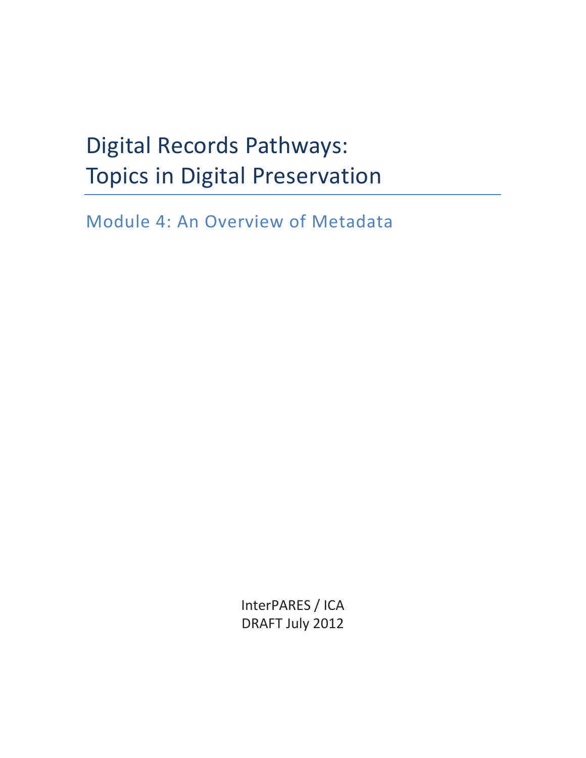# Digital Records Pathways: Topics in Digital Preservation

Module 4: An Overview of Metadata

InterPARES / ICA DRAFT July 2012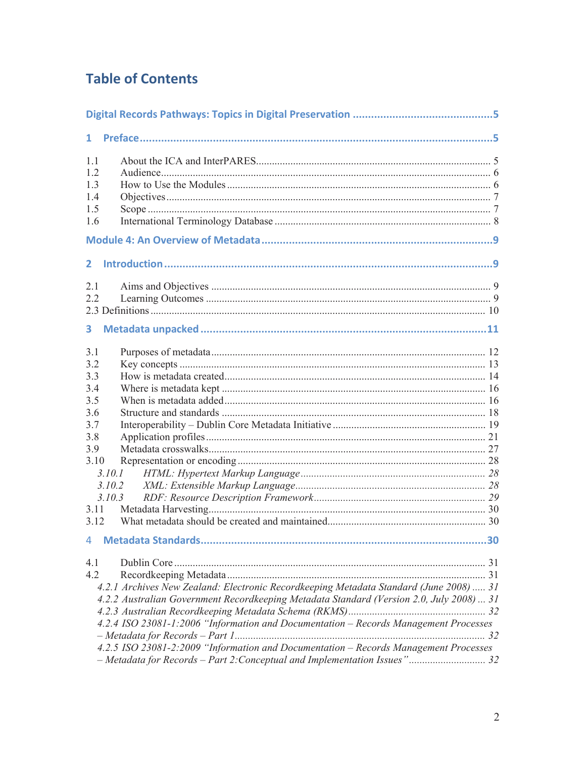## **Table of Contents**

| 1                                                                                                                                                                 |    |
|-------------------------------------------------------------------------------------------------------------------------------------------------------------------|----|
| 1.1<br>12                                                                                                                                                         |    |
| 1.3                                                                                                                                                               |    |
| 1.4                                                                                                                                                               |    |
| 1.5                                                                                                                                                               |    |
| 1.6                                                                                                                                                               |    |
|                                                                                                                                                                   |    |
| 2.                                                                                                                                                                |    |
| 2.1                                                                                                                                                               |    |
| 22                                                                                                                                                                |    |
|                                                                                                                                                                   |    |
| 3                                                                                                                                                                 |    |
| 3.1                                                                                                                                                               |    |
| 3.2                                                                                                                                                               |    |
| 3.3                                                                                                                                                               |    |
| 3.4<br>3.5                                                                                                                                                        |    |
| 3.6                                                                                                                                                               |    |
| 3.7                                                                                                                                                               |    |
| 3.8                                                                                                                                                               |    |
| 3.9                                                                                                                                                               |    |
| 3.10                                                                                                                                                              |    |
| 3.10.1                                                                                                                                                            |    |
| 3.10.2                                                                                                                                                            |    |
| 3.10.3                                                                                                                                                            |    |
| 3.11<br>3.12                                                                                                                                                      |    |
|                                                                                                                                                                   | 30 |
| 4.1                                                                                                                                                               |    |
| 4.2                                                                                                                                                               |    |
| 4.2.1 Archives New Zealand: Electronic Recordkeeping Metadata Standard (June 2008)  31                                                                            |    |
| 4.2.2 Australian Government Recordkeeping Metadata Standard (Version 2.0, July 2008)  31                                                                          |    |
|                                                                                                                                                                   |    |
| 4.2.4 ISO 23081-1:2006 "Information and Documentation - Records Management Processes                                                                              |    |
|                                                                                                                                                                   |    |
| 4.2.5 ISO 23081-2:2009 "Information and Documentation - Records Management Processes<br>- Metadata for Records - Part 2: Conceptual and Implementation Issues" 32 |    |
|                                                                                                                                                                   |    |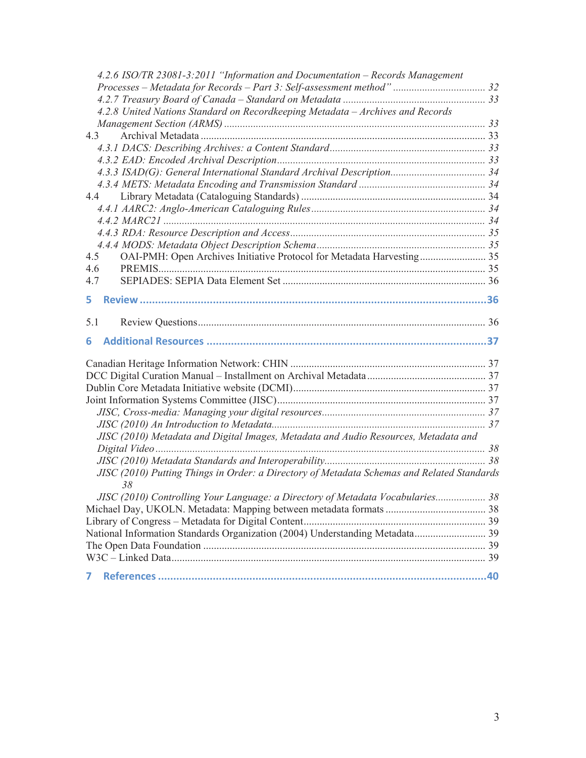| 4.2.6 ISO/TR 23081-3:2011 "Information and Documentation – Records Management                    |  |
|--------------------------------------------------------------------------------------------------|--|
|                                                                                                  |  |
|                                                                                                  |  |
| 4.2.8 United Nations Standard on Recordkeeping Metadata - Archives and Records                   |  |
|                                                                                                  |  |
| 4.3                                                                                              |  |
|                                                                                                  |  |
|                                                                                                  |  |
| 4.3.3 ISAD(G): General International Standard Archival Description 34                            |  |
|                                                                                                  |  |
| 4.4                                                                                              |  |
|                                                                                                  |  |
|                                                                                                  |  |
|                                                                                                  |  |
|                                                                                                  |  |
| 4.5<br>OAI-PMH: Open Archives Initiative Protocol for Metadata Harvesting 35                     |  |
| 4.6                                                                                              |  |
| 4.7                                                                                              |  |
| 5.                                                                                               |  |
| 5.1                                                                                              |  |
| 6                                                                                                |  |
|                                                                                                  |  |
|                                                                                                  |  |
|                                                                                                  |  |
|                                                                                                  |  |
|                                                                                                  |  |
|                                                                                                  |  |
| JISC (2010) Metadata and Digital Images, Metadata and Audio Resources, Metadata and              |  |
|                                                                                                  |  |
|                                                                                                  |  |
| JISC (2010) Putting Things in Order: a Directory of Metadata Schemas and Related Standards<br>38 |  |
| JISC (2010) Controlling Your Language: a Directory of Metadata Vocabularies 38                   |  |
|                                                                                                  |  |
|                                                                                                  |  |
| National Information Standards Organization (2004) Understanding Metadata 39                     |  |
|                                                                                                  |  |
|                                                                                                  |  |
| 7                                                                                                |  |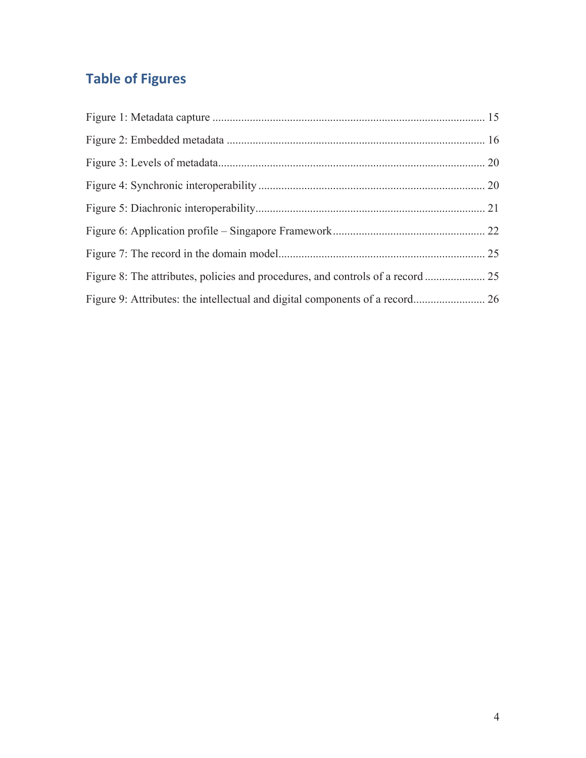## **Table of Figures**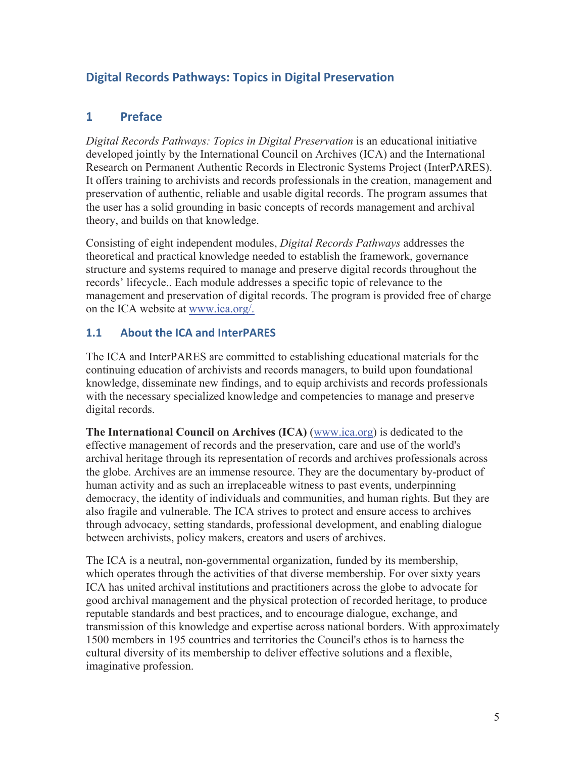## **Digital Records Pathways: Topics in Digital Preservation**

## **1 Preface**

*Digital Records Pathways: Topics in Digital Preservation* is an educational initiative developed jointly by the International Council on Archives (ICA) and the International Research on Permanent Authentic Records in Electronic Systems Project (InterPARES). It offers training to archivists and records professionals in the creation, management and preservation of authentic, reliable and usable digital records. The program assumes that the user has a solid grounding in basic concepts of records management and archival theory, and builds on that knowledge.

Consisting of eight independent modules, *Digital Records Pathways* addresses the theoretical and practical knowledge needed to establish the framework, governance structure and systems required to manage and preserve digital records throughout the records' lifecycle.. Each module addresses a specific topic of relevance to the management and preservation of digital records. The program is provided free of charge on the ICA website at www.ica.org/.

#### **1.1 About the ICA and InterPARES**

The ICA and InterPARES are committed to establishing educational materials for the continuing education of archivists and records managers, to build upon foundational knowledge, disseminate new findings, and to equip archivists and records professionals with the necessary specialized knowledge and competencies to manage and preserve digital records.

**The International Council on Archives (ICA)** (www.ica.org) is dedicated to the effective management of records and the preservation, care and use of the world's archival heritage through its representation of records and archives professionals across the globe. Archives are an immense resource. They are the documentary by-product of human activity and as such an irreplaceable witness to past events, underpinning democracy, the identity of individuals and communities, and human rights. But they are also fragile and vulnerable. The ICA strives to protect and ensure access to archives through advocacy, setting standards, professional development, and enabling dialogue between archivists, policy makers, creators and users of archives.

The ICA is a neutral, non-governmental organization, funded by its membership, which operates through the activities of that diverse membership. For over sixty years ICA has united archival institutions and practitioners across the globe to advocate for good archival management and the physical protection of recorded heritage, to produce reputable standards and best practices, and to encourage dialogue, exchange, and transmission of this knowledge and expertise across national borders. With approximately 1500 members in 195 countries and territories the Council's ethos is to harness the cultural diversity of its membership to deliver effective solutions and a flexible, imaginative profession.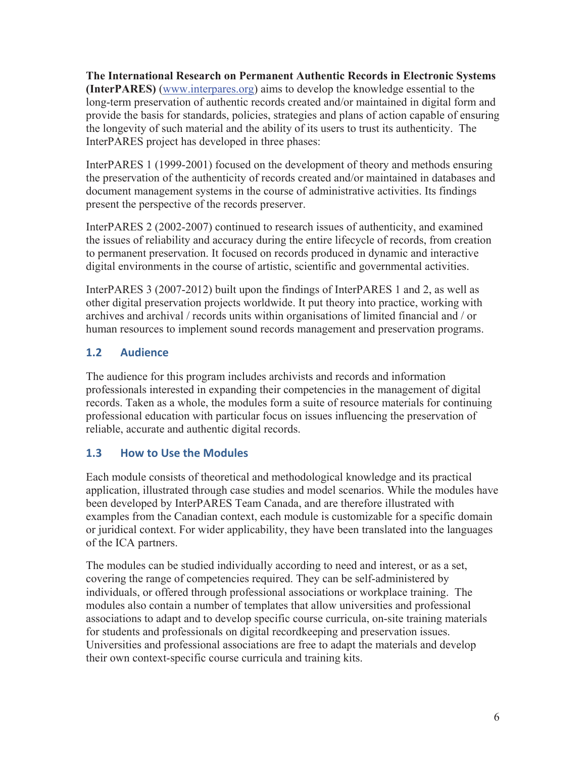**The International Research on Permanent Authentic Records in Electronic Systems (InterPARES)** (www.interpares.org) aims to develop the knowledge essential to the long-term preservation of authentic records created and/or maintained in digital form and provide the basis for standards, policies, strategies and plans of action capable of ensuring the longevity of such material and the ability of its users to trust its authenticity. The InterPARES project has developed in three phases:

InterPARES 1 (1999-2001) focused on the development of theory and methods ensuring the preservation of the authenticity of records created and/or maintained in databases and document management systems in the course of administrative activities. Its findings present the perspective of the records preserver.

InterPARES 2 (2002-2007) continued to research issues of authenticity, and examined the issues of reliability and accuracy during the entire lifecycle of records, from creation to permanent preservation. It focused on records produced in dynamic and interactive digital environments in the course of artistic, scientific and governmental activities.

InterPARES 3 (2007-2012) built upon the findings of InterPARES 1 and 2, as well as other digital preservation projects worldwide. It put theory into practice, working with archives and archival / records units within organisations of limited financial and / or human resources to implement sound records management and preservation programs.

## **1.2 Audience**

The audience for this program includes archivists and records and information professionals interested in expanding their competencies in the management of digital records. Taken as a whole, the modules form a suite of resource materials for continuing professional education with particular focus on issues influencing the preservation of reliable, accurate and authentic digital records.

## **1.3 How to Use the Modules**

Each module consists of theoretical and methodological knowledge and its practical application, illustrated through case studies and model scenarios. While the modules have been developed by InterPARES Team Canada, and are therefore illustrated with examples from the Canadian context, each module is customizable for a specific domain or juridical context. For wider applicability, they have been translated into the languages of the ICA partners.

The modules can be studied individually according to need and interest, or as a set, covering the range of competencies required. They can be self-administered by individuals, or offered through professional associations or workplace training. The modules also contain a number of templates that allow universities and professional associations to adapt and to develop specific course curricula, on-site training materials for students and professionals on digital recordkeeping and preservation issues. Universities and professional associations are free to adapt the materials and develop their own context-specific course curricula and training kits.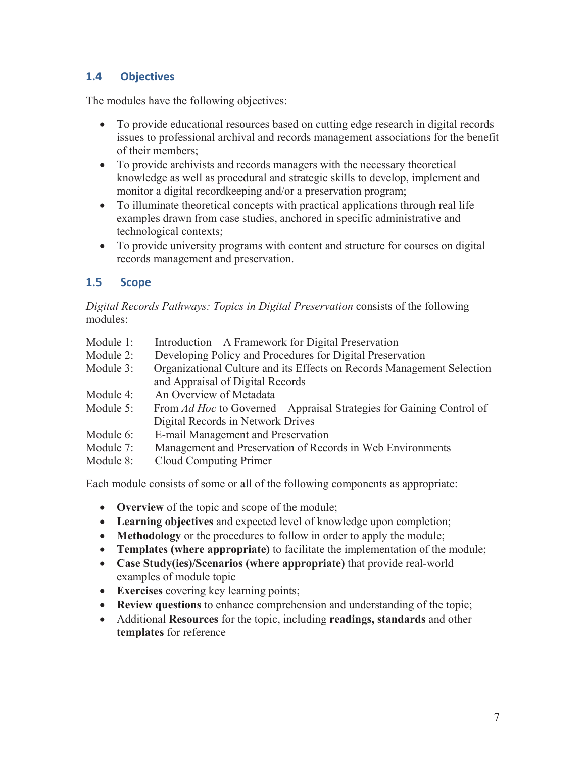## **1.4 Objectives**

The modules have the following objectives:

- x To provide educational resources based on cutting edge research in digital records issues to professional archival and records management associations for the benefit of their members;
- To provide archivists and records managers with the necessary theoretical knowledge as well as procedural and strategic skills to develop, implement and monitor a digital recordkeeping and/or a preservation program;
- To illuminate theoretical concepts with practical applications through real life examples drawn from case studies, anchored in specific administrative and technological contexts;
- To provide university programs with content and structure for courses on digital records management and preservation.

## **1.5 Scope**

*Digital Records Pathways: Topics in Digital Preservation* consists of the following modules:

- Module 1: Introduction A Framework for Digital Preservation
- Module 2: Developing Policy and Procedures for Digital Preservation
- Module 3: Organizational Culture and its Effects on Records Management Selection and Appraisal of Digital Records
- Module 4: An Overview of Metadata
- Module 5: From *Ad Hoc* to Governed Appraisal Strategies for Gaining Control of Digital Records in Network Drives
- Module 6: E-mail Management and Preservation
- Module 7: Management and Preservation of Records in Web Environments
- Module 8: Cloud Computing Primer

Each module consists of some or all of the following components as appropriate:

- **Overview** of the topic and scope of the module;
- x **Learning objectives** and expected level of knowledge upon completion;
- **Methodology** or the procedures to follow in order to apply the module;
- **Templates (where appropriate)** to facilitate the implementation of the module;
- x **Case Study(ies)/Scenarios (where appropriate)** that provide real-world examples of module topic
- **Exercises** covering key learning points;
- **Review questions** to enhance comprehension and understanding of the topic;
- x Additional **Resources** for the topic, including **readings, standards** and other **templates** for reference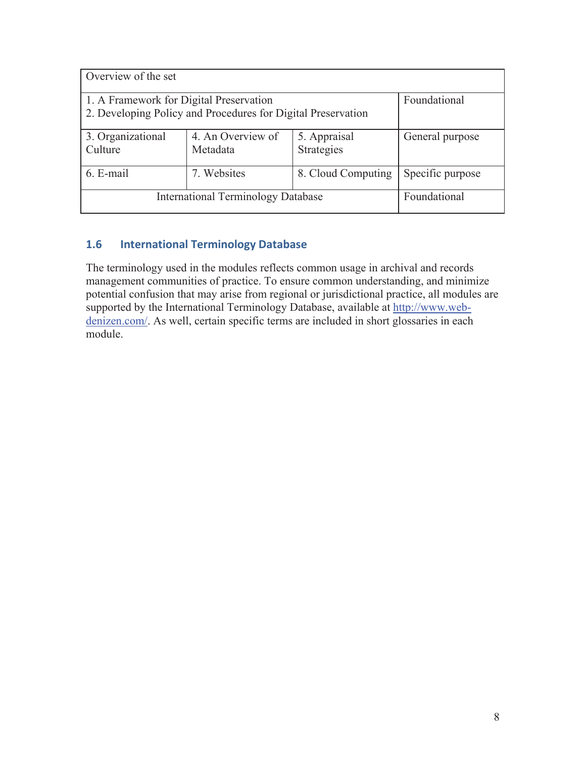| Overview of the set                                                                                     |                 |                    |                  |  |
|---------------------------------------------------------------------------------------------------------|-----------------|--------------------|------------------|--|
| 1. A Framework for Digital Preservation<br>2. Developing Policy and Procedures for Digital Preservation | Foundational    |                    |                  |  |
| 3. Organizational<br>Culture                                                                            | General purpose |                    |                  |  |
| 6. E-mail                                                                                               | 7. Websites     | 8. Cloud Computing | Specific purpose |  |
| <b>International Terminology Database</b>                                                               | Foundational    |                    |                  |  |

## **1.6 International Terminology Database**

The terminology used in the modules reflects common usage in archival and records management communities of practice. To ensure common understanding, and minimize potential confusion that may arise from regional or jurisdictional practice, all modules are supported by the International Terminology Database, available at http://www.webdenizen.com/. As well, certain specific terms are included in short glossaries in each module.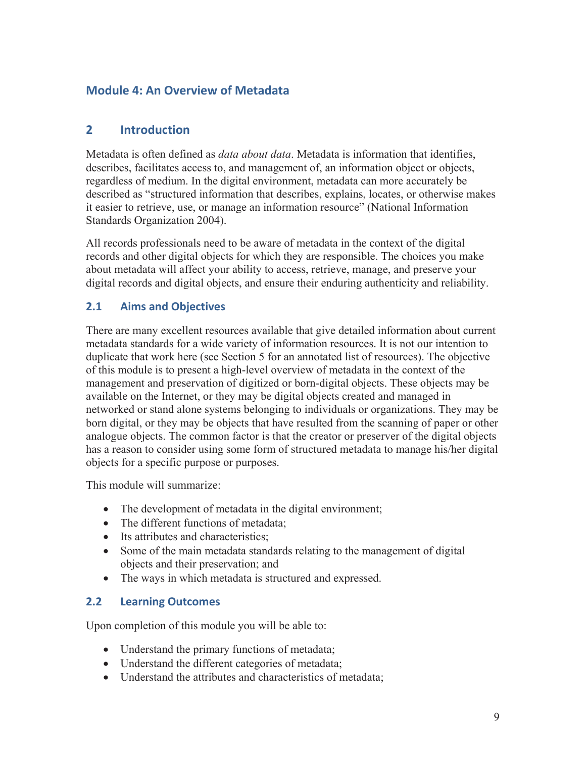## **Module 4: An Overview of Metadata**

## **2 Introduction**

Metadata is often defined as *data about data*. Metadata is information that identifies, describes, facilitates access to, and management of, an information object or objects, regardless of medium. In the digital environment, metadata can more accurately be described as "structured information that describes, explains, locates, or otherwise makes it easier to retrieve, use, or manage an information resource" (National Information Standards Organization 2004).

All records professionals need to be aware of metadata in the context of the digital records and other digital objects for which they are responsible. The choices you make about metadata will affect your ability to access, retrieve, manage, and preserve your digital records and digital objects, and ensure their enduring authenticity and reliability.

## **2.1 Aims and Objectives**

There are many excellent resources available that give detailed information about current metadata standards for a wide variety of information resources. It is not our intention to duplicate that work here (see Section 5 for an annotated list of resources). The objective of this module is to present a high-level overview of metadata in the context of the management and preservation of digitized or born-digital objects. These objects may be available on the Internet, or they may be digital objects created and managed in networked or stand alone systems belonging to individuals or organizations. They may be born digital, or they may be objects that have resulted from the scanning of paper or other analogue objects. The common factor is that the creator or preserver of the digital objects has a reason to consider using some form of structured metadata to manage his/her digital objects for a specific purpose or purposes.

This module will summarize:

- The development of metadata in the digital environment;
- The different functions of metadata;
- Its attributes and characteristics;
- Some of the main metadata standards relating to the management of digital objects and their preservation; and
- The ways in which metadata is structured and expressed.

#### **2.2 Learning Outcomes**

Upon completion of this module you will be able to:

- $\bullet$  Understand the primary functions of metadata;
- Understand the different categories of metadata;
- Understand the attributes and characteristics of metadata;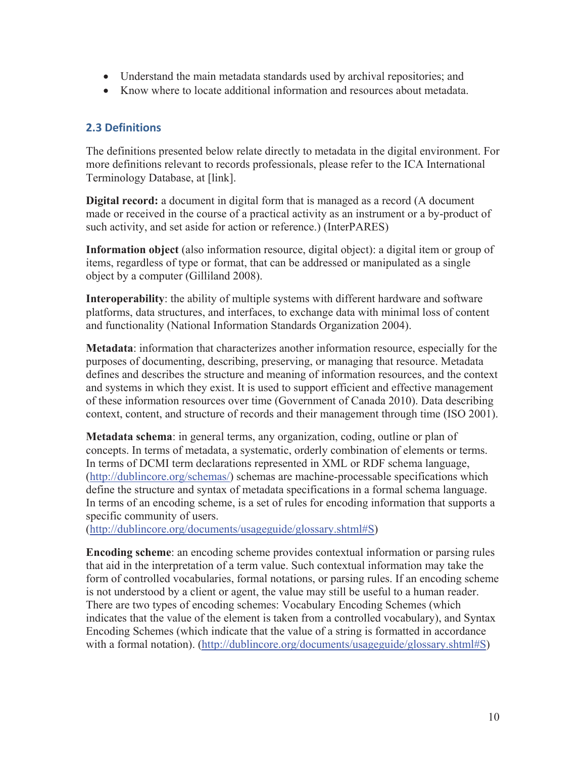- Understand the main metadata standards used by archival repositories; and
- Know where to locate additional information and resources about metadata.

### **2.3 Definitions**

The definitions presented below relate directly to metadata in the digital environment. For more definitions relevant to records professionals, please refer to the ICA International Terminology Database, at [link].

**Digital record:** a document in digital form that is managed as a record (A document made or received in the course of a practical activity as an instrument or a by-product of such activity, and set aside for action or reference.) (InterPARES)

**Information object** (also information resource, digital object): a digital item or group of items, regardless of type or format, that can be addressed or manipulated as a single object by a computer (Gilliland 2008).

**Interoperability**: the ability of multiple systems with different hardware and software platforms, data structures, and interfaces, to exchange data with minimal loss of content and functionality (National Information Standards Organization 2004).

**Metadata**: information that characterizes another information resource, especially for the purposes of documenting, describing, preserving, or managing that resource. Metadata defines and describes the structure and meaning of information resources, and the context and systems in which they exist. It is used to support efficient and effective management of these information resources over time (Government of Canada 2010). Data describing context, content, and structure of records and their management through time (ISO 2001).

**Metadata schema**: in general terms, any organization, coding, outline or plan of concepts. In terms of metadata, a systematic, orderly combination of elements or terms. In terms of DCMI term declarations represented in XML or RDF schema language, (http://dublincore.org/schemas/) schemas are machine-processable specifications which define the structure and syntax of metadata specifications in a formal schema language. In terms of an encoding scheme, is a set of rules for encoding information that supports a specific community of users.

(http://dublincore.org/documents/usageguide/glossary.shtml#S)

**Encoding scheme**: an encoding scheme provides contextual information or parsing rules that aid in the interpretation of a term value. Such contextual information may take the form of controlled vocabularies, formal notations, or parsing rules. If an encoding scheme is not understood by a client or agent, the value may still be useful to a human reader. There are two types of encoding schemes: Vocabulary Encoding Schemes (which indicates that the value of the element is taken from a controlled vocabulary), and Syntax Encoding Schemes (which indicate that the value of a string is formatted in accordance with a formal notation). (http://dublincore.org/documents/usageguide/glossary.shtml#S)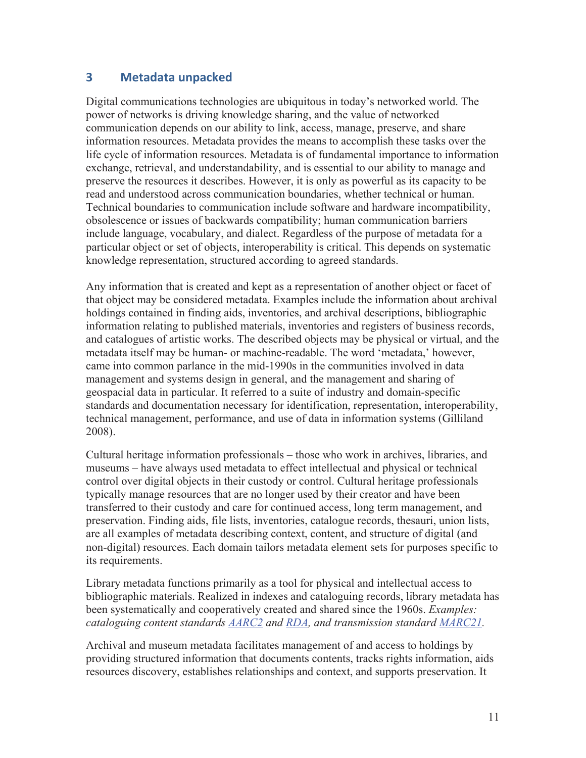## **3 Metadata unpacked**

Digital communications technologies are ubiquitous in today's networked world. The power of networks is driving knowledge sharing, and the value of networked communication depends on our ability to link, access, manage, preserve, and share information resources. Metadata provides the means to accomplish these tasks over the life cycle of information resources. Metadata is of fundamental importance to information exchange, retrieval, and understandability, and is essential to our ability to manage and preserve the resources it describes. However, it is only as powerful as its capacity to be read and understood across communication boundaries, whether technical or human. Technical boundaries to communication include software and hardware incompatibility, obsolescence or issues of backwards compatibility; human communication barriers include language, vocabulary, and dialect. Regardless of the purpose of metadata for a particular object or set of objects, interoperability is critical. This depends on systematic knowledge representation, structured according to agreed standards.

Any information that is created and kept as a representation of another object or facet of that object may be considered metadata. Examples include the information about archival holdings contained in finding aids, inventories, and archival descriptions, bibliographic information relating to published materials, inventories and registers of business records, and catalogues of artistic works. The described objects may be physical or virtual, and the metadata itself may be human- or machine-readable. The word 'metadata,' however, came into common parlance in the mid-1990s in the communities involved in data management and systems design in general, and the management and sharing of geospacial data in particular. It referred to a suite of industry and domain-specific standards and documentation necessary for identification, representation, interoperability, technical management, performance, and use of data in information systems (Gilliland 2008).

Cultural heritage information professionals – those who work in archives, libraries, and museums – have always used metadata to effect intellectual and physical or technical control over digital objects in their custody or control. Cultural heritage professionals typically manage resources that are no longer used by their creator and have been transferred to their custody and care for continued access, long term management, and preservation. Finding aids, file lists, inventories, catalogue records, thesauri, union lists, are all examples of metadata describing context, content, and structure of digital (and non-digital) resources. Each domain tailors metadata element sets for purposes specific to its requirements.

Library metadata functions primarily as a tool for physical and intellectual access to bibliographic materials. Realized in indexes and cataloguing records, library metadata has been systematically and cooperatively created and shared since the 1960s. *Examples: cataloguing content standards AARC2 and RDA, and transmission standard MARC21.*

Archival and museum metadata facilitates management of and access to holdings by providing structured information that documents contents, tracks rights information, aids resources discovery, establishes relationships and context, and supports preservation. It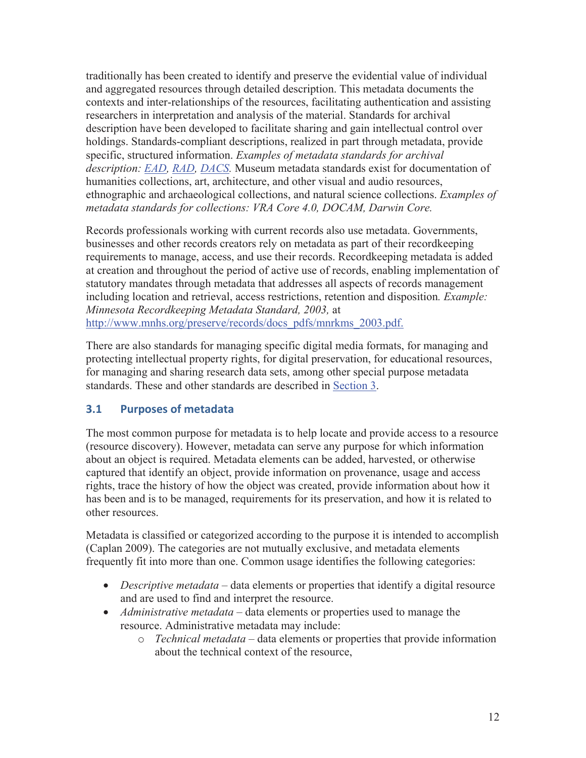traditionally has been created to identify and preserve the evidential value of individual and aggregated resources through detailed description. This metadata documents the contexts and inter-relationships of the resources, facilitating authentication and assisting researchers in interpretation and analysis of the material. Standards for archival description have been developed to facilitate sharing and gain intellectual control over holdings. Standards-compliant descriptions, realized in part through metadata, provide specific, structured information. *Examples of metadata standards for archival description: EAD, RAD, DACS.* Museum metadata standards exist for documentation of humanities collections, art, architecture, and other visual and audio resources, ethnographic and archaeological collections, and natural science collections. *Examples of metadata standards for collections: VRA Core 4.0, DOCAM, Darwin Core.* 

Records professionals working with current records also use metadata. Governments, businesses and other records creators rely on metadata as part of their recordkeeping requirements to manage, access, and use their records. Recordkeeping metadata is added at creation and throughout the period of active use of records, enabling implementation of statutory mandates through metadata that addresses all aspects of records management including location and retrieval, access restrictions, retention and disposition*. Example: Minnesota Recordkeeping Metadata Standard, 2003,* at http://www.mnhs.org/preserve/records/docs\_pdfs/mnrkms\_2003.pdf.

There are also standards for managing specific digital media formats, for managing and protecting intellectual property rights, for digital preservation, for educational resources, for managing and sharing research data sets, among other special purpose metadata standards. These and other standards are described in Section 3.

## **3.1 Purposes of metadata**

The most common purpose for metadata is to help locate and provide access to a resource (resource discovery). However, metadata can serve any purpose for which information about an object is required. Metadata elements can be added, harvested, or otherwise captured that identify an object, provide information on provenance, usage and access rights, trace the history of how the object was created, provide information about how it has been and is to be managed, requirements for its preservation, and how it is related to other resources.

Metadata is classified or categorized according to the purpose it is intended to accomplish (Caplan 2009). The categories are not mutually exclusive, and metadata elements frequently fit into more than one. Common usage identifies the following categories:

- *Descriptive metadata* data elements or properties that identify a digital resource and are used to find and interpret the resource.
- *Administrative metadata* data elements or properties used to manage the resource. Administrative metadata may include:
	- o *Technical metadata* data elements or properties that provide information about the technical context of the resource,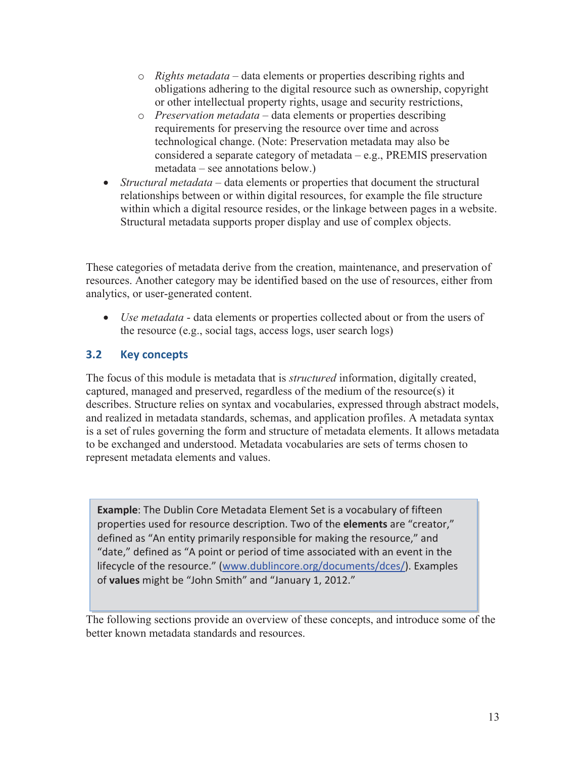- o *Rights metadata* data elements or properties describing rights and obligations adhering to the digital resource such as ownership, copyright or other intellectual property rights, usage and security restrictions,
- o *Preservation metadata* data elements or properties describing requirements for preserving the resource over time and across technological change. (Note: Preservation metadata may also be considered a separate category of metadata – e.g., PREMIS preservation metadata – see annotations below.)
- *Structural metadata* data elements or properties that document the structural relationships between or within digital resources, for example the file structure within which a digital resource resides, or the linkage between pages in a website. Structural metadata supports proper display and use of complex objects.

These categories of metadata derive from the creation, maintenance, and preservation of resources. Another category may be identified based on the use of resources, either from analytics, or user-generated content.

• *Use metadata* - data elements or properties collected about or from the users of the resource (e.g., social tags, access logs, user search logs)

## **3.2 Key concepts**

The focus of this module is metadata that is *structured* information, digitally created, captured, managed and preserved, regardless of the medium of the resource(s) it describes. Structure relies on syntax and vocabularies, expressed through abstract models, and realized in metadata standards, schemas, and application profiles. A metadata syntax is a set of rules governing the form and structure of metadata elements. It allows metadata to be exchanged and understood. Metadata vocabularies are sets of terms chosen to represent metadata elements and values.

**Example**: The Dublin Core Metadata Element Set is a vocabulary of fifteen properties used for resource description. Two of the **elements** are "creator," defined as "An entity primarily responsible for making the resource," and "date," defined as "A point or period of time associated with an event in the lifecycle of the resource." (www.dublincore.org/documents/dces/). Examples of **values** might be "John Smith" and "January 1, 2012."

The following sections provide an overview of these concepts, and introduce some of the better known metadata standards and resources.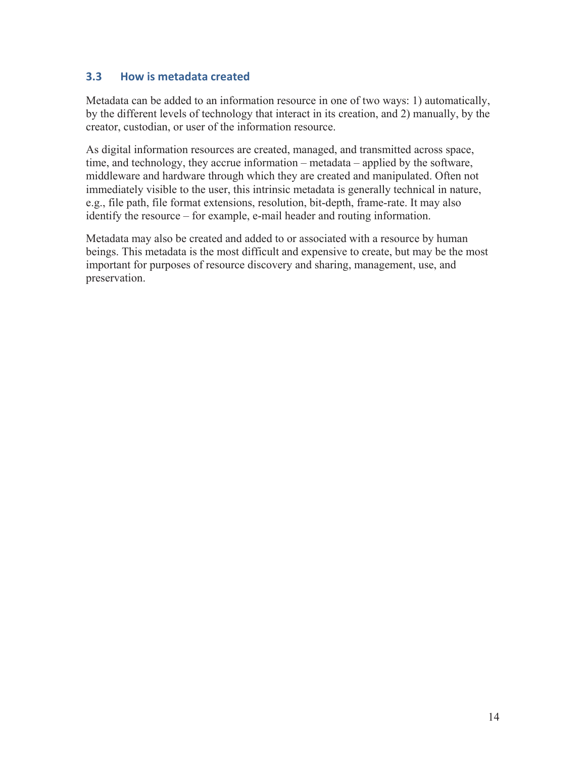### **3.3 How is metadata created**

Metadata can be added to an information resource in one of two ways: 1) automatically, by the different levels of technology that interact in its creation, and 2) manually, by the creator, custodian, or user of the information resource.

As digital information resources are created, managed, and transmitted across space, time, and technology, they accrue information – metadata – applied by the software, middleware and hardware through which they are created and manipulated. Often not immediately visible to the user, this intrinsic metadata is generally technical in nature, e.g., file path, file format extensions, resolution, bit-depth, frame-rate. It may also identify the resource – for example, e-mail header and routing information.

Metadata may also be created and added to or associated with a resource by human beings. This metadata is the most difficult and expensive to create, but may be the most important for purposes of resource discovery and sharing, management, use, and preservation.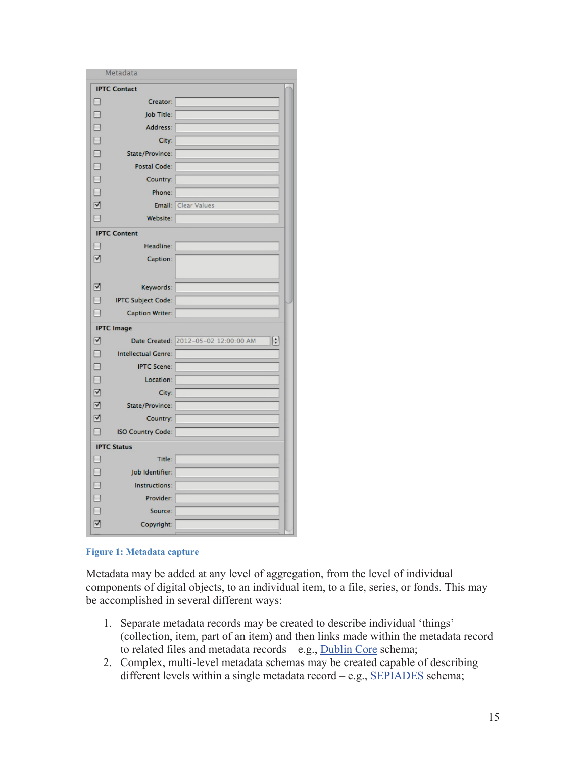|                 | Metadata                   |                                                                    |  |  |  |  |
|-----------------|----------------------------|--------------------------------------------------------------------|--|--|--|--|
|                 | <b>IPTC Contact</b>        |                                                                    |  |  |  |  |
| ۸               | Creator:                   |                                                                    |  |  |  |  |
| E               | Job Title:                 |                                                                    |  |  |  |  |
| Е               | Address:                   |                                                                    |  |  |  |  |
| Е               | City:                      |                                                                    |  |  |  |  |
| □               | State/Province:            |                                                                    |  |  |  |  |
| □               | <b>Postal Code:</b>        |                                                                    |  |  |  |  |
| Ē               | Country:                   |                                                                    |  |  |  |  |
| Ξ               | Phone:                     |                                                                    |  |  |  |  |
| $\triangledown$ | Email:                     | <b>Clear Values</b>                                                |  |  |  |  |
|                 | Website:                   |                                                                    |  |  |  |  |
|                 | <b>IPTC Content</b>        |                                                                    |  |  |  |  |
|                 | Headline:                  |                                                                    |  |  |  |  |
| ☑               | Caption:                   |                                                                    |  |  |  |  |
|                 |                            |                                                                    |  |  |  |  |
| V               | Keywords:                  |                                                                    |  |  |  |  |
| Ξ               | <b>IPTC Subject Code:</b>  |                                                                    |  |  |  |  |
| г               | <b>Caption Writer:</b>     |                                                                    |  |  |  |  |
|                 | <b>IPTC Image</b>          |                                                                    |  |  |  |  |
| ☑               |                            | $\left(\frac{1}{r}\right)$<br>Date Created: 2012-05-02 12:00:00 AM |  |  |  |  |
| П               | <b>Intellectual Genre:</b> |                                                                    |  |  |  |  |
| Г               | <b>IPTC Scene:</b>         |                                                                    |  |  |  |  |
| Г               | Location:                  |                                                                    |  |  |  |  |
| ☑               | City:                      |                                                                    |  |  |  |  |
| ☑               | State/Province:            |                                                                    |  |  |  |  |
| ⊽               | Country:                   |                                                                    |  |  |  |  |
|                 | <b>ISO Country Code:</b>   |                                                                    |  |  |  |  |
|                 | <b>IPTC Status</b>         |                                                                    |  |  |  |  |
|                 | Title:                     |                                                                    |  |  |  |  |
| E               | Job Identifier:            |                                                                    |  |  |  |  |
| E               | Instructions:              |                                                                    |  |  |  |  |
| E               | Provider:                  |                                                                    |  |  |  |  |
|                 | Source:                    |                                                                    |  |  |  |  |
| ⊽               | Copyright:                 |                                                                    |  |  |  |  |

**Figure 1: Metadata capture** 

Metadata may be added at any level of aggregation, from the level of individual components of digital objects, to an individual item, to a file, series, or fonds. This may be accomplished in several different ways:

- 1. Separate metadata records may be created to describe individual 'things' (collection, item, part of an item) and then links made within the metadata record to related files and metadata records – e.g., Dublin Core schema;
- 2. Complex, multi-level metadata schemas may be created capable of describing different levels within a single metadata record – e.g., SEPIADES schema;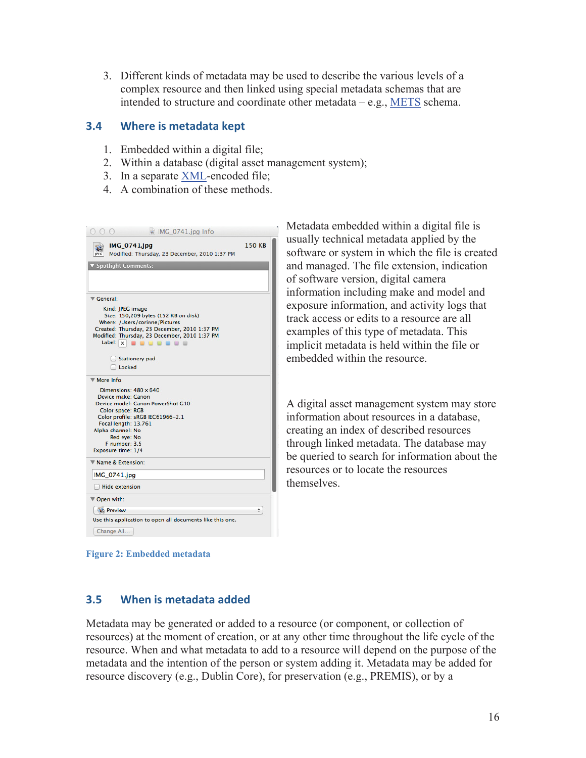3. Different kinds of metadata may be used to describe the various levels of a complex resource and then linked using special metadata schemas that are intended to structure and coordinate other metadata – e.g., METS schema.

#### **3.4 Where is metadata kept**

- 1. Embedded within a digital file;
- 2. Within a database (digital asset management system);
- 3. In a separate XML-encoded file;
- 4. A combination of these methods.

| $\approx$ IMG_0741.jpg Info                                                    |               |
|--------------------------------------------------------------------------------|---------------|
| <b>IMG 0741.jpg</b><br>Modified: Thursday, 23 December, 2010 1:37 PM           | <b>150 KB</b> |
| <b>Spotlight Comments:</b>                                                     |               |
|                                                                                |               |
| Ceneral:                                                                       |               |
| Kind: JPEG image                                                               |               |
| Size: 150,209 bytes (152 KB on disk)                                           |               |
| Where: /Users/corinne/Pictures<br>Created: Thursday, 23 December, 2010 1:37 PM |               |
| Modified: Thursday, 23 December, 2010 1:37 PM                                  |               |
| Label: $x$<br>0.12.02.0                                                        |               |
|                                                                                |               |
| <b>Stationery pad</b>                                                          |               |
| Locked                                                                         |               |
| More Info:                                                                     |               |
| Dimensions: $480 \times 640$                                                   |               |
| Device make: Canon                                                             |               |
| Device model: Canon PowerShot G10                                              |               |
| Color space: RGB                                                               |               |
| Color profile: sRGB IEC61966-2.1                                               |               |
| Focal length: 13.761                                                           |               |
| Alpha channel: No<br>Red eve: No                                               |               |
| F number: 3.5                                                                  |               |
| Exposure time: 1/4                                                             |               |
| Name & Extension:                                                              |               |
| <b>IMG 0741.jpg</b>                                                            |               |
| <b>Hide extension</b>                                                          |               |
| ▼ Open with:                                                                   |               |
| <b>At Preview</b>                                                              | ÷             |
| Use this application to open all documents like this one.                      |               |
| Change All                                                                     |               |
|                                                                                |               |

Metadata embedded within a digital file is usually technical metadata applied by the software or system in which the file is created and managed. The file extension, indication of software version, digital camera information including make and model and exposure information, and activity logs that track access or edits to a resource are all examples of this type of metadata. This implicit metadata is held within the file or embedded within the resource.

A digital asset management system may store information about resources in a database, creating an index of described resources through linked metadata. The database may be queried to search for information about the resources or to locate the resources themselves.

**Figure 2: Embedded metadata** 

#### **3.5 When is metadata added**

Metadata may be generated or added to a resource (or component, or collection of resources) at the moment of creation, or at any other time throughout the life cycle of the resource. When and what metadata to add to a resource will depend on the purpose of the metadata and the intention of the person or system adding it. Metadata may be added for resource discovery (e.g., Dublin Core), for preservation (e.g., PREMIS), or by a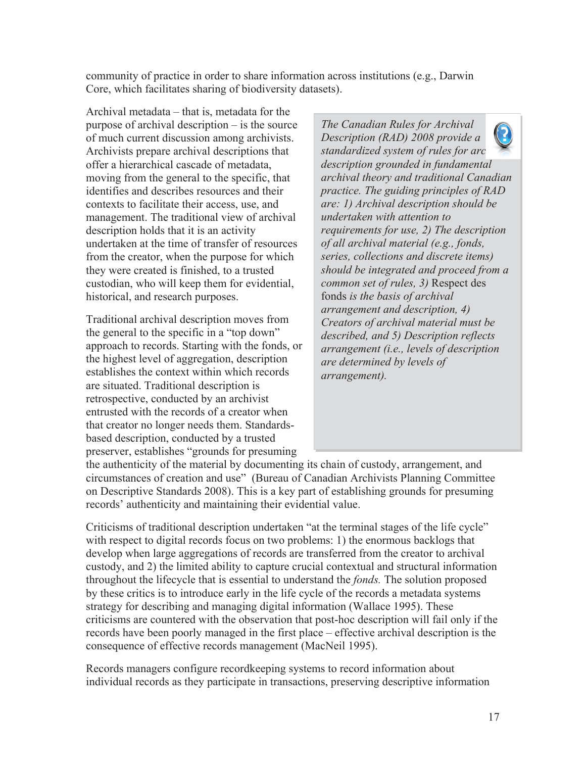community of practice in order to share information across institutions (e.g., Darwin Core, which facilitates sharing of biodiversity datasets).

Archival metadata – that is, metadata for the purpose of archival description – is the source of much current discussion among archivists. Archivists prepare archival descriptions that offer a hierarchical cascade of metadata, moving from the general to the specific, that identifies and describes resources and their contexts to facilitate their access, use, and management. The traditional view of archival description holds that it is an activity undertaken at the time of transfer of resources from the creator, when the purpose for which they were created is finished, to a trusted custodian, who will keep them for evidential, historical, and research purposes.

Traditional archival description moves from the general to the specific in a "top down" approach to records. Starting with the fonds, or the highest level of aggregation, description establishes the context within which records are situated. Traditional description is retrospective, conducted by an archivist entrusted with the records of a creator when that creator no longer needs them. Standardsbased description, conducted by a trusted preserver, establishes "grounds for presuming

*The Canadian Rules for Archival Description (RAD) 2008 provide a standardized system of rules for archival and archival at a red description grounded in fundamental archival theory and traditional Canadian practice. The guiding principles of RAD are: 1) Archival description should be undertaken with attention to requirements for use, 2) The description of all archival material (e.g., fonds, series, collections and discrete items) should be integrated and proceed from a common set of rules, 3)* Respect des fonds *is the basis of archival arrangement and description, 4) Creators of archival material must be described, and 5) Description reflects arrangement (i.e., levels of description are determined by levels of arrangement).* 

the authenticity of the material by documenting its chain of custody, arrangement, and circumstances of creation and use" (Bureau of Canadian Archivists Planning Committee on Descriptive Standards 2008). This is a key part of establishing grounds for presuming records' authenticity and maintaining their evidential value.

Criticisms of traditional description undertaken "at the terminal stages of the life cycle" with respect to digital records focus on two problems: 1) the enormous backlogs that develop when large aggregations of records are transferred from the creator to archival custody, and 2) the limited ability to capture crucial contextual and structural information throughout the lifecycle that is essential to understand the *fonds.* The solution proposed by these critics is to introduce early in the life cycle of the records a metadata systems strategy for describing and managing digital information (Wallace 1995). These criticisms are countered with the observation that post-hoc description will fail only if the records have been poorly managed in the first place – effective archival description is the consequence of effective records management (MacNeil 1995).

Records managers configure recordkeeping systems to record information about individual records as they participate in transactions, preserving descriptive information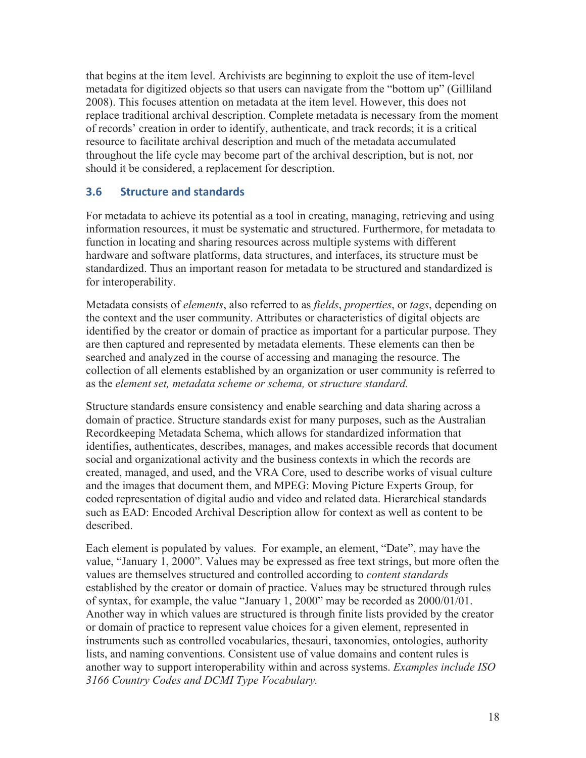that begins at the item level. Archivists are beginning to exploit the use of item-level metadata for digitized objects so that users can navigate from the "bottom up" (Gilliland 2008). This focuses attention on metadata at the item level. However, this does not replace traditional archival description. Complete metadata is necessary from the moment of records' creation in order to identify, authenticate, and track records; it is a critical resource to facilitate archival description and much of the metadata accumulated throughout the life cycle may become part of the archival description, but is not, nor should it be considered, a replacement for description.

#### **3.6 Structure and standards**

For metadata to achieve its potential as a tool in creating, managing, retrieving and using information resources, it must be systematic and structured. Furthermore, for metadata to function in locating and sharing resources across multiple systems with different hardware and software platforms, data structures, and interfaces, its structure must be standardized. Thus an important reason for metadata to be structured and standardized is for interoperability.

Metadata consists of *elements*, also referred to as *fields*, *properties*, or *tags*, depending on the context and the user community. Attributes or characteristics of digital objects are identified by the creator or domain of practice as important for a particular purpose. They are then captured and represented by metadata elements. These elements can then be searched and analyzed in the course of accessing and managing the resource. The collection of all elements established by an organization or user community is referred to as the *element set, metadata scheme or schema,* or *structure standard.*

Structure standards ensure consistency and enable searching and data sharing across a domain of practice. Structure standards exist for many purposes, such as the Australian Recordkeeping Metadata Schema, which allows for standardized information that identifies, authenticates, describes, manages, and makes accessible records that document social and organizational activity and the business contexts in which the records are created, managed, and used, and the VRA Core, used to describe works of visual culture and the images that document them, and MPEG: Moving Picture Experts Group, for coded representation of digital audio and video and related data. Hierarchical standards such as EAD: Encoded Archival Description allow for context as well as content to be described.

Each element is populated by values. For example, an element, "Date", may have the value, "January 1, 2000". Values may be expressed as free text strings, but more often the values are themselves structured and controlled according to *content standards* established by the creator or domain of practice. Values may be structured through rules of syntax, for example, the value "January 1, 2000" may be recorded as 2000/01/01. Another way in which values are structured is through finite lists provided by the creator or domain of practice to represent value choices for a given element, represented in instruments such as controlled vocabularies, thesauri, taxonomies, ontologies, authority lists, and naming conventions. Consistent use of value domains and content rules is another way to support interoperability within and across systems. *Examples include ISO 3166 Country Codes and DCMI Type Vocabulary.*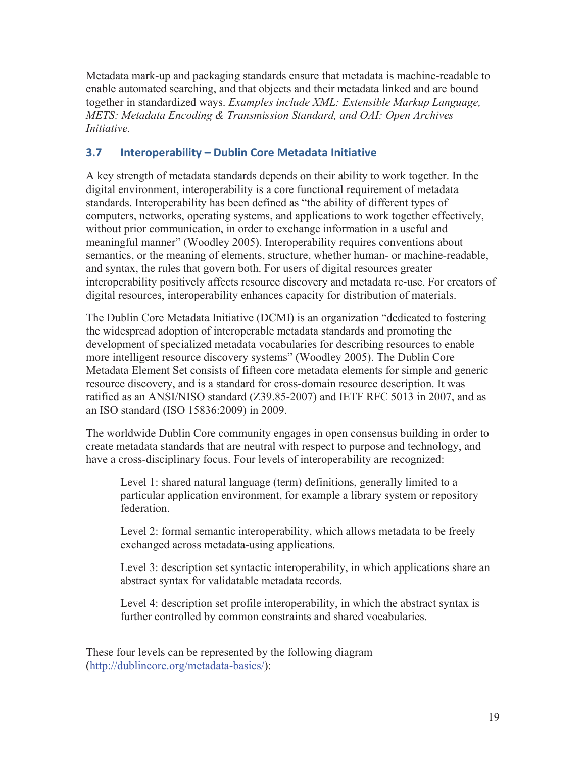Metadata mark-up and packaging standards ensure that metadata is machine-readable to enable automated searching, and that objects and their metadata linked and are bound together in standardized ways. *Examples include XML: Extensible Markup Language, METS: Metadata Encoding & Transmission Standard, and OAI: Open Archives Initiative.* 

## **3.7 Interoperability – Dublin Core Metadata Initiative**

A key strength of metadata standards depends on their ability to work together. In the digital environment, interoperability is a core functional requirement of metadata standards. Interoperability has been defined as "the ability of different types of computers, networks, operating systems, and applications to work together effectively, without prior communication, in order to exchange information in a useful and meaningful manner" (Woodley 2005). Interoperability requires conventions about semantics, or the meaning of elements, structure, whether human- or machine-readable, and syntax, the rules that govern both. For users of digital resources greater interoperability positively affects resource discovery and metadata re-use. For creators of digital resources, interoperability enhances capacity for distribution of materials.

The Dublin Core Metadata Initiative (DCMI) is an organization "dedicated to fostering the widespread adoption of interoperable metadata standards and promoting the development of specialized metadata vocabularies for describing resources to enable more intelligent resource discovery systems" (Woodley 2005). The Dublin Core Metadata Element Set consists of fifteen core metadata elements for simple and generic resource discovery, and is a standard for cross-domain resource description. It was ratified as an ANSI/NISO standard (Z39.85-2007) and IETF RFC 5013 in 2007, and as an ISO standard (ISO 15836:2009) in 2009.

The worldwide Dublin Core community engages in open consensus building in order to create metadata standards that are neutral with respect to purpose and technology, and have a cross-disciplinary focus. Four levels of interoperability are recognized:

Level 1: shared natural language (term) definitions, generally limited to a particular application environment, for example a library system or repository federation.

Level 2: formal semantic interoperability, which allows metadata to be freely exchanged across metadata-using applications.

Level 3: description set syntactic interoperability, in which applications share an abstract syntax for validatable metadata records.

Level 4: description set profile interoperability, in which the abstract syntax is further controlled by common constraints and shared vocabularies.

These four levels can be represented by the following diagram (http://dublincore.org/metadata-basics/):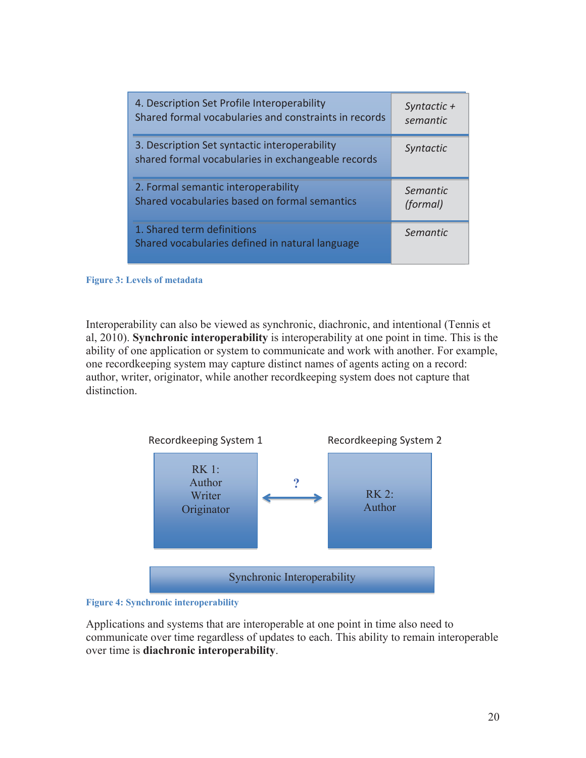| 4. Description Set Profile Interoperability                                                         | Syntactic $+$    |
|-----------------------------------------------------------------------------------------------------|------------------|
| Shared formal vocabularies and constraints in records                                               | semantic         |
| 3. Description Set syntactic interoperability<br>shared formal vocabularies in exchangeable records | <b>Syntactic</b> |
| 2. Formal semantic interoperability                                                                 | Semantic         |
| Shared vocabularies based on formal semantics                                                       | (formal)         |
| 1. Shared term definitions<br>Shared vocabularies defined in natural language                       | Semantic         |

**Figure 3: Levels of metadata** 

Interoperability can also be viewed as synchronic, diachronic, and intentional (Tennis et al, 2010). **Synchronic interoperability** is interoperability at one point in time. This is the ability of one application or system to communicate and work with another. For example, one recordkeeping system may capture distinct names of agents acting on a record: author, writer, originator, while another recordkeeping system does not capture that distinction.





Applications and systems that are interoperable at one point in time also need to communicate over time regardless of updates to each. This ability to remain interoperable over time is **diachronic interoperability**.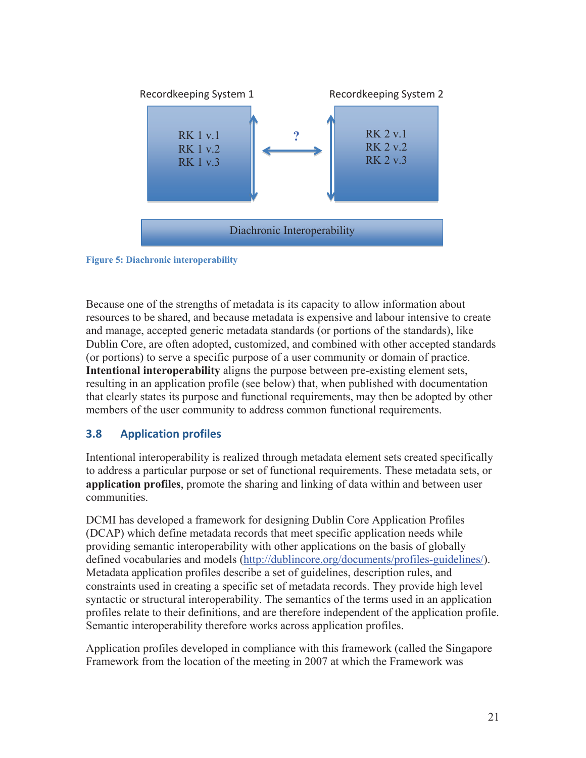



Because one of the strengths of metadata is its capacity to allow information about resources to be shared, and because metadata is expensive and labour intensive to create and manage, accepted generic metadata standards (or portions of the standards), like Dublin Core, are often adopted, customized, and combined with other accepted standards (or portions) to serve a specific purpose of a user community or domain of practice. **Intentional interoperability** aligns the purpose between pre-existing element sets, resulting in an application profile (see below) that, when published with documentation that clearly states its purpose and functional requirements, may then be adopted by other members of the user community to address common functional requirements.

## **3.8 Application profiles**

Intentional interoperability is realized through metadata element sets created specifically to address a particular purpose or set of functional requirements. These metadata sets, or **application profiles**, promote the sharing and linking of data within and between user communities.

DCMI has developed a framework for designing Dublin Core Application Profiles (DCAP) which define metadata records that meet specific application needs while providing semantic interoperability with other applications on the basis of globally defined vocabularies and models (http://dublincore.org/documents/profiles-guidelines/). Metadata application profiles describe a set of guidelines, description rules, and constraints used in creating a specific set of metadata records. They provide high level syntactic or structural interoperability. The semantics of the terms used in an application profiles relate to their definitions, and are therefore independent of the application profile. Semantic interoperability therefore works across application profiles.

Application profiles developed in compliance with this framework (called the Singapore Framework from the location of the meeting in 2007 at which the Framework was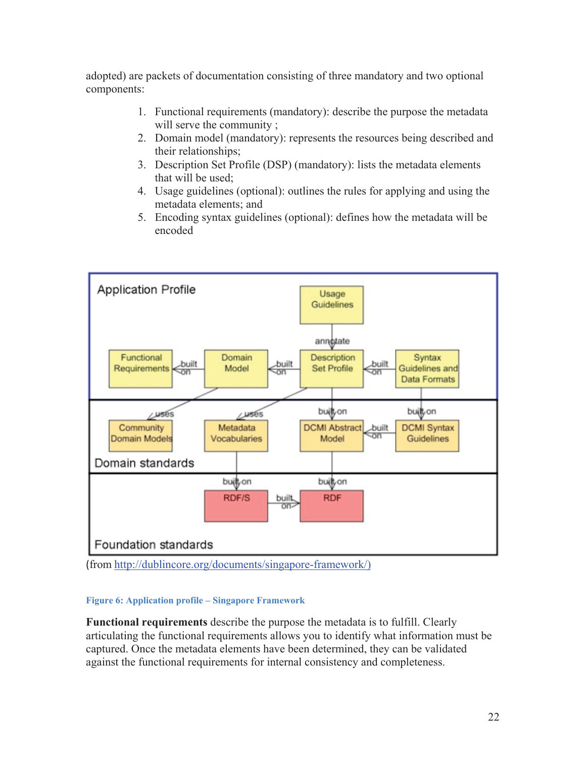adopted) are packets of documentation consisting of three mandatory and two optional components:

- 1. Functional requirements (mandatory): describe the purpose the metadata will serve the community;
- 2. Domain model (mandatory): represents the resources being described and their relationships;
- 3. Description Set Profile (DSP) (mandatory): lists the metadata elements that will be used;
- 4. Usage guidelines (optional): outlines the rules for applying and using the metadata elements; and
- 5. Encoding syntax guidelines (optional): defines how the metadata will be encoded



(from http://dublincore.org/documents/singapore-framework/)

#### **Figure 6: Application profile – Singapore Framework**

**Functional requirements** describe the purpose the metadata is to fulfill. Clearly articulating the functional requirements allows you to identify what information must be captured. Once the metadata elements have been determined, they can be validated against the functional requirements for internal consistency and completeness.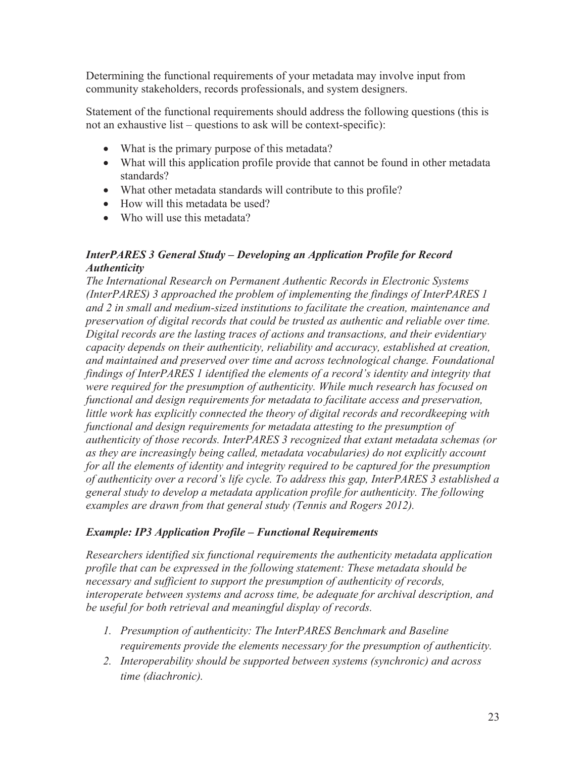Determining the functional requirements of your metadata may involve input from community stakeholders, records professionals, and system designers.

Statement of the functional requirements should address the following questions (this is not an exhaustive list – questions to ask will be context-specific):

- What is the primary purpose of this metadata?
- What will this application profile provide that cannot be found in other metadata standards?
- What other metadata standards will contribute to this profile?
- $\bullet$  How will this metadata be used?
- $\bullet$  Who will use this metadata?

#### *InterPARES 3 General Study – Developing an Application Profile for Record Authenticity*

*The International Research on Permanent Authentic Records in Electronic Systems (InterPARES) 3 approached the problem of implementing the findings of InterPARES 1 and 2 in small and medium-sized institutions to facilitate the creation, maintenance and preservation of digital records that could be trusted as authentic and reliable over time. Digital records are the lasting traces of actions and transactions, and their evidentiary capacity depends on their authenticity, reliability and accuracy, established at creation, and maintained and preserved over time and across technological change. Foundational findings of InterPARES 1 identified the elements of a record's identity and integrity that were required for the presumption of authenticity. While much research has focused on functional and design requirements for metadata to facilitate access and preservation, little work has explicitly connected the theory of digital records and recordkeeping with functional and design requirements for metadata attesting to the presumption of authenticity of those records. InterPARES 3 recognized that extant metadata schemas (or as they are increasingly being called, metadata vocabularies) do not explicitly account for all the elements of identity and integrity required to be captured for the presumption of authenticity over a record's life cycle. To address this gap, InterPARES 3 established a general study to develop a metadata application profile for authenticity. The following examples are drawn from that general study (Tennis and Rogers 2012).* 

#### *Example: IP3 Application Profile – Functional Requirements*

*Researchers identified six functional requirements the authenticity metadata application profile that can be expressed in the following statement: These metadata should be necessary and sufficient to support the presumption of authenticity of records, interoperate between systems and across time, be adequate for archival description, and be useful for both retrieval and meaningful display of records.* 

- *1. Presumption of authenticity: The InterPARES Benchmark and Baseline requirements provide the elements necessary for the presumption of authenticity.*
- *2. Interoperability should be supported between systems (synchronic) and across time (diachronic).*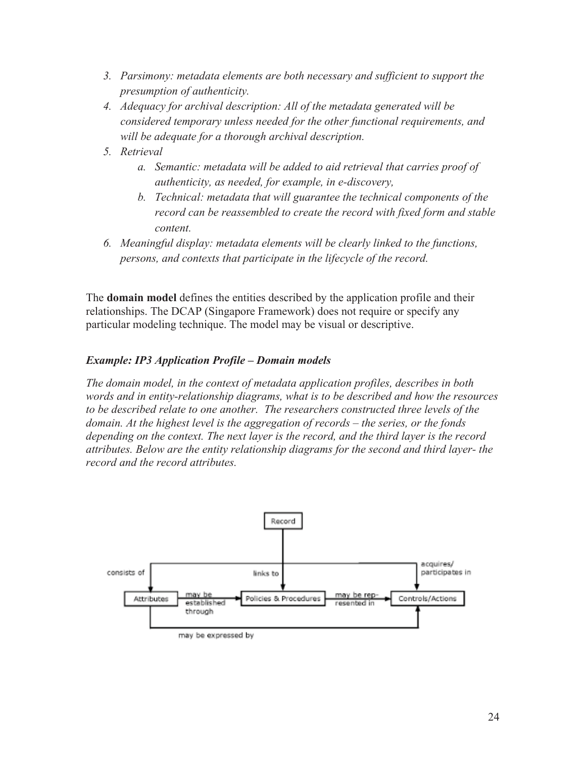- *3. Parsimony: metadata elements are both necessary and sufficient to support the presumption of authenticity.*
- *4. Adequacy for archival description: All of the metadata generated will be considered temporary unless needed for the other functional requirements, and will be adequate for a thorough archival description.*
- *5. Retrieval* 
	- *a. Semantic: metadata will be added to aid retrieval that carries proof of authenticity, as needed, for example, in e-discovery,*
	- *b. Technical: metadata that will guarantee the technical components of the record can be reassembled to create the record with fixed form and stable content.*
- *6. Meaningful display: metadata elements will be clearly linked to the functions, persons, and contexts that participate in the lifecycle of the record.*

The **domain model** defines the entities described by the application profile and their relationships. The DCAP (Singapore Framework) does not require or specify any particular modeling technique. The model may be visual or descriptive.

#### *Example: IP3 Application Profile – Domain models*

*The domain model, in the context of metadata application profiles, describes in both words and in entity-relationship diagrams, what is to be described and how the resources to be described relate to one another. The researchers constructed three levels of the domain. At the highest level is the aggregation of records – the series, or the fonds depending on the context. The next layer is the record, and the third layer is the record attributes. Below are the entity relationship diagrams for the second and third layer- the record and the record attributes.* 

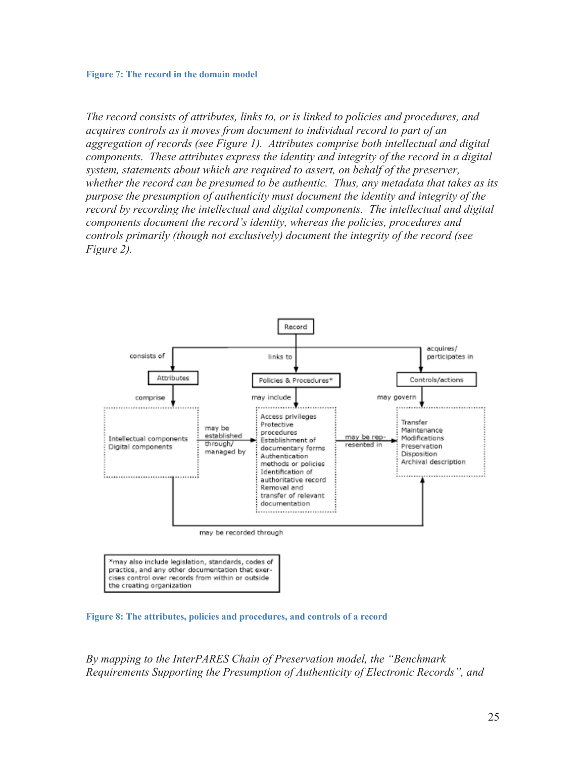#### **Figure 7: The record in the domain model**

*The record consists of attributes, links to, or is linked to policies and procedures, and acquires controls as it moves from document to individual record to part of an aggregation of records (see Figure 1). Attributes comprise both intellectual and digital components. These attributes express the identity and integrity of the record in a digital system, statements about which are required to assert, on behalf of the preserver, whether the record can be presumed to be authentic. Thus, any metadata that takes as its purpose the presumption of authenticity must document the identity and integrity of the record by recording the intellectual and digital components. The intellectual and digital components document the record's identity, whereas the policies, procedures and controls primarily (though not exclusively) document the integrity of the record (see Figure 2).* 



\*may also include legislation, standards, codes of practice, and any other documentation that exercises control over records from within or outside the creating organization

**Figure 8: The attributes, policies and procedures, and controls of a record** 

*By mapping to the InterPARES Chain of Preservation model, the "Benchmark Requirements Supporting the Presumption of Authenticity of Electronic Records", and*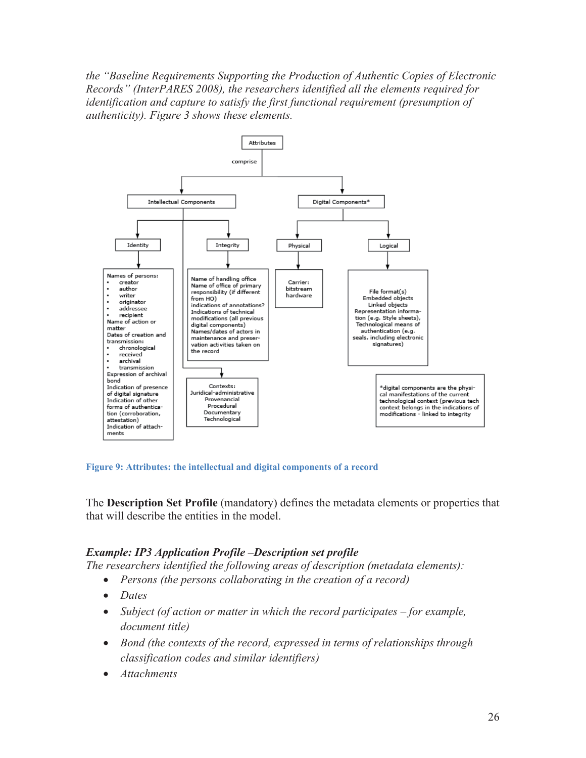*the "Baseline Requirements Supporting the Production of Authentic Copies of Electronic Records" (InterPARES 2008), the researchers identified all the elements required for identification and capture to satisfy the first functional requirement (presumption of authenticity). Figure 3 shows these elements.* 



**Figure 9: Attributes: the intellectual and digital components of a record** 

The **Description Set Profile** (mandatory) defines the metadata elements or properties that that will describe the entities in the model.

#### *Example: IP3 Application Profile –Description set profile*

*The researchers identified the following areas of description (metadata elements):* 

- Persons (the persons collaborating in the creation of a record)
- Dates
- *Subject (of action or matter in which the record participates for example, document title)*
- x *Bond (the contexts of the record, expressed in terms of relationships through classification codes and similar identifiers)*
- *Attachments*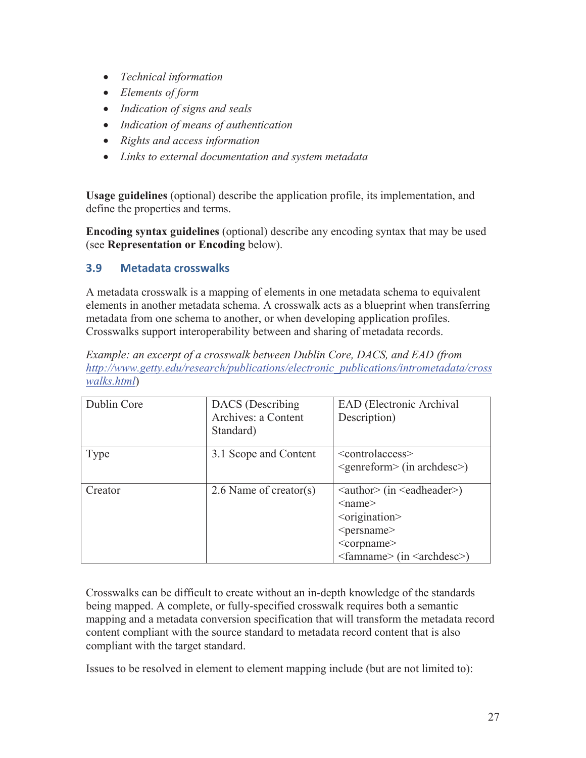- x *Technical information*
- x *Elements of form*
- x *Indication of signs and seals*
- x *Indication of means of authentication*
- x *Rights and access information*
- x *Links to external documentation and system metadata*

**Usage guidelines** (optional) describe the application profile, its implementation, and define the properties and terms.

**Encoding syntax guidelines** (optional) describe any encoding syntax that may be used (see **Representation or Encoding** below).

## **3.9 Metadata crosswalks**

A metadata crosswalk is a mapping of elements in one metadata schema to equivalent elements in another metadata schema. A crosswalk acts as a blueprint when transferring metadata from one schema to another, or when developing application profiles. Crosswalks support interoperability between and sharing of metadata records.

*Example: an excerpt of a crosswalk between Dublin Core, DACS, and EAD (from http://www.getty.edu/research/publications/electronic\_publications/intrometadata/cross walks.html*)

| Dublin Core | DACS (Describing)<br>Archives: a Content<br>Standard) | EAD (Electronic Archival<br>Description)                                                                                                                                                                                                                                     |
|-------------|-------------------------------------------------------|------------------------------------------------------------------------------------------------------------------------------------------------------------------------------------------------------------------------------------------------------------------------------|
| Type        | 3.1 Scope and Content                                 | $\leq$ controlaccess $\geq$<br>$\leq$ genreform> (in archdesc>)                                                                                                                                                                                                              |
| Creator     | 2.6 Name of creator(s)                                | $\langle$ author $\rangle$ (in $\langle$ eadheader $\rangle$ )<br>$\le$ name $\ge$<br>$\leq$ origination $\geq$<br><persname><br/><corpname><br/><math>\langle</math>famname<math>\rangle</math> (in <math>\langle</math>archdesc<math>\rangle</math>)</corpname></persname> |

Crosswalks can be difficult to create without an in-depth knowledge of the standards being mapped. A complete, or fully-specified crosswalk requires both a semantic mapping and a metadata conversion specification that will transform the metadata record content compliant with the source standard to metadata record content that is also compliant with the target standard.

Issues to be resolved in element to element mapping include (but are not limited to):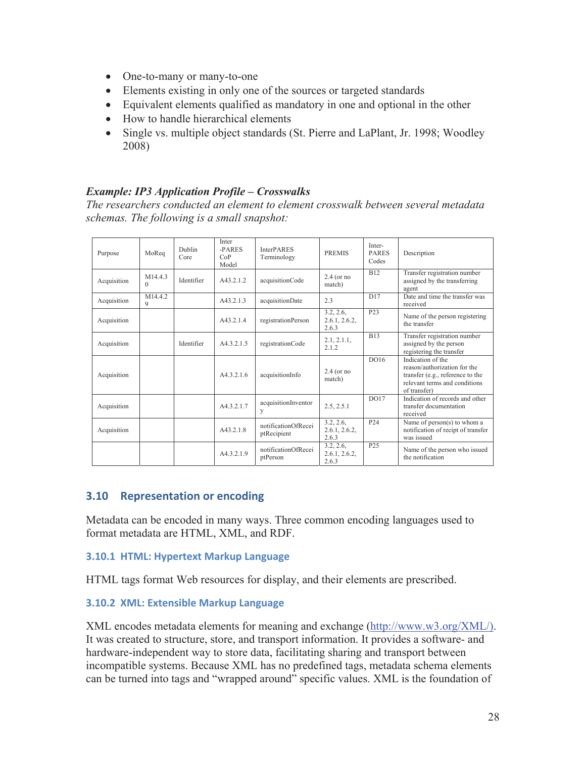- One-to-many or many-to-one
- Elements existing in only one of the sources or targeted standards
- Equivalent elements qualified as mandatory in one and optional in the other
- How to handle hierarchical elements
- Single vs. multiple object standards (St. Pierre and LaPlant, Jr. 1998; Woodley 2008)

#### *Example: IP3 Application Profile – Crosswalks*

*The researchers conducted an element to element crosswalk between several metadata schemas. The following is a small snapshot:* 

| Purpose     | MoReq               | Dublin<br>Core | Inter<br>-PARES<br>CoP<br>Model | <b>InterPARES</b><br>Terminology   | <b>PREMIS</b>                       | Inter-<br><b>PARES</b><br>Codes | Description                                                                                                                            |
|-------------|---------------------|----------------|---------------------------------|------------------------------------|-------------------------------------|---------------------------------|----------------------------------------------------------------------------------------------------------------------------------------|
| Acquisition | M14.4.3<br>$\Omega$ | Identifier     | A43.2.1.2                       | acquisitionCode                    | $2.4$ (or no<br>match)              | <b>B12</b>                      | Transfer registration number<br>assigned by the transferring<br>agent                                                                  |
| Acquisition | M1442<br>9          |                | A43.2.1.3                       | acquisitionDate                    | 23                                  | D17                             | Date and time the transfer was<br>received                                                                                             |
| Acquisition |                     |                | A43.2.1.4                       | registrationPerson                 | 3.2, 2.6,<br>2.6.1, 2.6.2,<br>2.6.3 | P <sub>23</sub>                 | Name of the person registering<br>the transfer                                                                                         |
| Acquisition |                     | Identifier     | A4.3.2.1.5                      | registrationCode                   | 2.1, 2.1.1,<br>2.1.2                | <b>B13</b>                      | Transfer registration number<br>assigned by the person<br>registering the transfer                                                     |
| Acquisition |                     |                | A43216                          | acquisitionInfo                    | $2.4$ (or no<br>match)              | D <sub>016</sub>                | Indication of the<br>reason/authorization for the<br>transfer (e.g., reference to the<br>relevant terms and conditions<br>of transfer) |
| Acquisition |                     |                | A43217                          | acquisitionInventor<br>y           | 2.5, 2.5.1                          | DO17                            | Indication of records and other<br>transfer documentation<br>received                                                                  |
| Acquisition |                     |                | A43.2.1.8                       | notificationOfRecei<br>ptRecipient | 3.2, 2.6,<br>2.6.1, 2.6.2,<br>2.6.3 | P <sub>24</sub>                 | Name of person(s) to whom a<br>notification of recipt of transfer<br>was issued                                                        |
|             |                     |                | A43219                          | notificationOfRecei<br>ptPerson    | 3.2, 2.6,<br>2.6.1, 2.6.2,<br>2.6.3 | P <sub>25</sub>                 | Name of the person who issued<br>the notification                                                                                      |

#### **3.10 Representation or encoding**

Metadata can be encoded in many ways. Three common encoding languages used to format metadata are HTML, XML, and RDF.

#### **3.10.1 HTML: Hypertext Markup Language**

HTML tags format Web resources for display, and their elements are prescribed.

#### **3.10.2 XML: Extensible Markup Language**

XML encodes metadata elements for meaning and exchange (http://www.w3.org/XML/). It was created to structure, store, and transport information. It provides a software- and hardware-independent way to store data, facilitating sharing and transport between incompatible systems. Because XML has no predefined tags, metadata schema elements can be turned into tags and "wrapped around" specific values. XML is the foundation of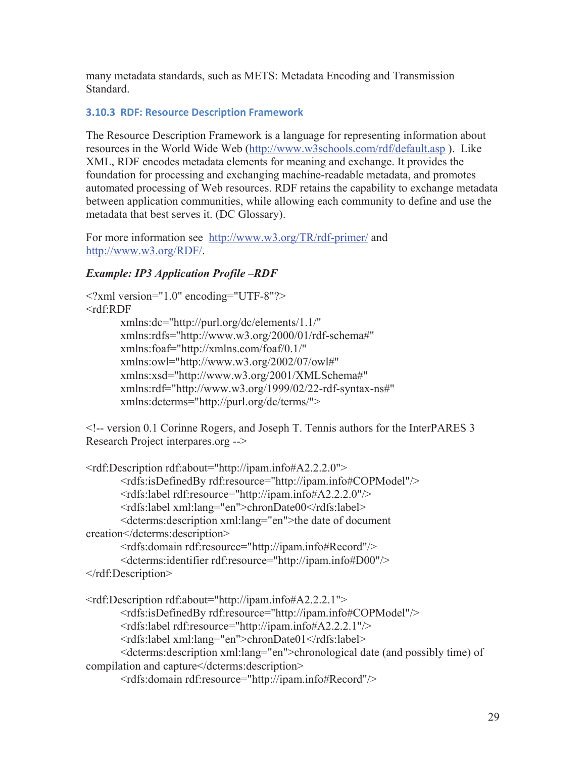many metadata standards, such as METS: Metadata Encoding and Transmission Standard.

#### **3.10.3 RDF: Resource Description Framework**

The Resource Description Framework is a language for representing information about resources in the World Wide Web (http://www.w3schools.com/rdf/default.asp ). Like XML, RDF encodes metadata elements for meaning and exchange. It provides the foundation for processing and exchanging machine-readable metadata, and promotes automated processing of Web resources. RDF retains the capability to exchange metadata between application communities, while allowing each community to define and use the metadata that best serves it. (DC Glossary).

For more information see http://www.w3.org/TR/rdf-primer/ and http://www.w3.org/RDF/.

#### *Example: IP3 Application Profile –RDF*

```
<?xml version="1.0" encoding="UTF-8"?> 
<rdf:RDF 
        xmlns:dc="http://purl.org/dc/elements/1.1/" 
        xmlns:rdfs="http://www.w3.org/2000/01/rdf-schema#" 
        xmlns:foaf="http://xmlns.com/foaf/0.1/" 
        xmlns:owl="http://www.w3.org/2002/07/owl#" 
        xmlns:xsd="http://www.w3.org/2001/XMLSchema#" 
        xmlns:rdf="http://www.w3.org/1999/02/22-rdf-syntax-ns#" 
        xmlns:dcterms="http://purl.org/dc/terms/">
```
<!-- version 0.1 Corinne Rogers, and Joseph T. Tennis authors for the InterPARES 3 Research Project interpares.org -->

```
<rdf:Description rdf:about="http://ipam.info#A2.2.2.0"> 
        <rdfs:isDefinedBy rdf:resource="http://ipam.info#COPModel"/> 
        <rdfs:label rdf:resource="http://ipam.info#A2.2.2.0"/> 
        <rdfs:label xml:lang="en">chronDate00</rdfs:label> 
        <dcterms:description xml:lang="en">the date of document 
creation</dcterms:description> 
        <rdfs:domain rdf:resource="http://ipam.info#Record"/> 
        <dcterms:identifier rdf:resource="http://ipam.info#D00"/> 
</rdf:Description> 
<rdf:Description rdf:about="http://ipam.info#A2.2.2.1"> 
        <rdfs:isDefinedBy rdf:resource="http://ipam.info#COPModel"/> 
        <rdfs:label rdf:resource="http://ipam.info#A2.2.2.1"/> 
        <rdfs:label xml:lang="en">chronDate01</rdfs:label> 
        <dcterms:description xml:lang="en">chronological date (and possibly time) of 
compilation and capture</dcterms:description> 
        <rdfs:domain rdf:resource="http://ipam.info#Record"/>
```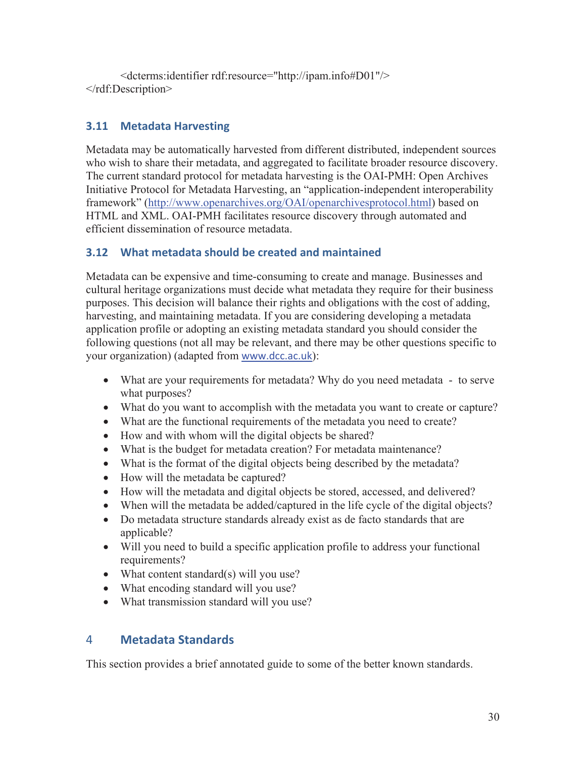<dcterms:identifier rdf:resource="http://ipam.info#D01"/> </rdf:Description>

## **3.11 Metadata Harvesting**

Metadata may be automatically harvested from different distributed, independent sources who wish to share their metadata, and aggregated to facilitate broader resource discovery. The current standard protocol for metadata harvesting is the OAI-PMH: Open Archives Initiative Protocol for Metadata Harvesting, an "application-independent interoperability framework" (http://www.openarchives.org/OAI/openarchivesprotocol.html) based on HTML and XML. OAI-PMH facilitates resource discovery through automated and efficient dissemination of resource metadata.

## **3.12 What metadata should be created and maintained**

Metadata can be expensive and time-consuming to create and manage. Businesses and cultural heritage organizations must decide what metadata they require for their business purposes. This decision will balance their rights and obligations with the cost of adding, harvesting, and maintaining metadata. If you are considering developing a metadata application profile or adopting an existing metadata standard you should consider the following questions (not all may be relevant, and there may be other questions specific to your organization) (adapted from www.dcc.ac.uk):

- What are your requirements for metadata? Why do you need metadata to serve what purposes?
- What do you want to accomplish with the metadata you want to create or capture?
- What are the functional requirements of the metadata you need to create?
- How and with whom will the digital objects be shared?
- What is the budget for metadata creation? For metadata maintenance?
- What is the format of the digital objects being described by the metadata?
- How will the metadata be captured?
- How will the metadata and digital objects be stored, accessed, and delivered?
- When will the metadata be added/captured in the life cycle of the digital objects?
- Do metadata structure standards already exist as de facto standards that are applicable?
- Will you need to build a specific application profile to address your functional requirements?
- What content standard(s) will you use?
- What encoding standard will you use?
- What transmission standard will you use?

## 4 **Metadata Standards**

This section provides a brief annotated guide to some of the better known standards.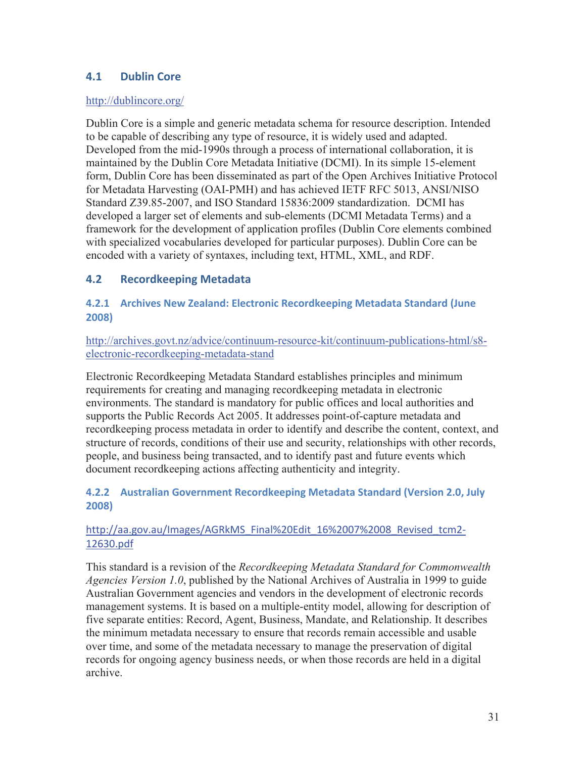## **4.1 Dublin Core**

#### http://dublincore.org/

Dublin Core is a simple and generic metadata schema for resource description. Intended to be capable of describing any type of resource, it is widely used and adapted. Developed from the mid-1990s through a process of international collaboration, it is maintained by the Dublin Core Metadata Initiative (DCMI). In its simple 15-element form, Dublin Core has been disseminated as part of the Open Archives Initiative Protocol for Metadata Harvesting (OAI-PMH) and has achieved IETF RFC 5013, ANSI/NISO Standard Z39.85-2007, and ISO Standard 15836:2009 standardization. DCMI has developed a larger set of elements and sub-elements (DCMI Metadata Terms) and a framework for the development of application profiles (Dublin Core elements combined with specialized vocabularies developed for particular purposes). Dublin Core can be encoded with a variety of syntaxes, including text, HTML, XML, and RDF.

#### **4.2 Recordkeeping Metadata**

#### **4.2.1 Archives New Zealand: Electronic Recordkeeping Metadata Standard (June 2008)**

http://archives.govt.nz/advice/continuum-resource-kit/continuum-publications-html/s8 electronic-recordkeeping-metadata-stand

Electronic Recordkeeping Metadata Standard establishes principles and minimum requirements for creating and managing recordkeeping metadata in electronic environments. The standard is mandatory for public offices and local authorities and supports the Public Records Act 2005. It addresses point-of-capture metadata and recordkeeping process metadata in order to identify and describe the content, context, and structure of records, conditions of their use and security, relationships with other records, people, and business being transacted, and to identify past and future events which document recordkeeping actions affecting authenticity and integrity.

#### **4.2.2 Australian Government Recordkeeping Metadata Standard (Version 2.0, July 2008)**

#### http://aa.gov.au/Images/AGRkMS\_Final%20Edit\_16%2007%2008\_Revised\_tcm2-12630.pdf

This standard is a revision of the *Recordkeeping Metadata Standard for Commonwealth Agencies Version 1.0*, published by the National Archives of Australia in 1999 to guide Australian Government agencies and vendors in the development of electronic records management systems. It is based on a multiple-entity model, allowing for description of five separate entities: Record, Agent, Business, Mandate, and Relationship. It describes the minimum metadata necessary to ensure that records remain accessible and usable over time, and some of the metadata necessary to manage the preservation of digital records for ongoing agency business needs, or when those records are held in a digital archive.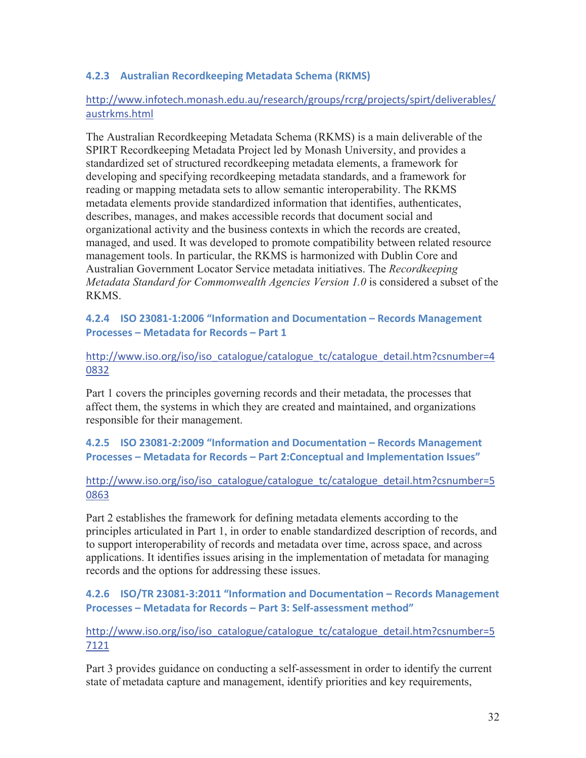#### **4.2.3 Australian Recordkeeping Metadata Schema (RKMS)**

#### http://www.infotech.monash.edu.au/research/groups/rcrg/projects/spirt/deliverables/ austrkms.html

The Australian Recordkeeping Metadata Schema (RKMS) is a main deliverable of the SPIRT Recordkeeping Metadata Project led by Monash University, and provides a standardized set of structured recordkeeping metadata elements, a framework for developing and specifying recordkeeping metadata standards, and a framework for reading or mapping metadata sets to allow semantic interoperability. The RKMS metadata elements provide standardized information that identifies, authenticates, describes, manages, and makes accessible records that document social and organizational activity and the business contexts in which the records are created, managed, and used. It was developed to promote compatibility between related resource management tools. In particular, the RKMS is harmonized with Dublin Core and Australian Government Locator Service metadata initiatives. The *Recordkeeping Metadata Standard for Commonwealth Agencies Version 1.0* is considered a subset of the **RKMS** 

**4.2.4 ISO 23081-1:2006 "Information and Documentation – Records Management Processes – Metadata for Records – Part 1** 

http://www.iso.org/iso/iso\_catalogue/catalogue\_tc/catalogue\_detail.htm?csnumber=4 0832

Part 1 covers the principles governing records and their metadata, the processes that affect them, the systems in which they are created and maintained, and organizations responsible for their management.

**4.2.5 ISO 23081-2:2009 "Information and Documentation – Records Management Processes – Metadata for Records – Part 2:Conceptual and Implementation Issues"** 

http://www.iso.org/iso/iso\_catalogue/catalogue\_tc/catalogue\_detail.htm?csnumber=5 0863

Part 2 establishes the framework for defining metadata elements according to the principles articulated in Part 1, in order to enable standardized description of records, and to support interoperability of records and metadata over time, across space, and across applications. It identifies issues arising in the implementation of metadata for managing records and the options for addressing these issues.

**4.2.6 ISO/TR 23081-3:2011 "Information and Documentation – Records Management Processes – Metadata for Records – Part 3: Self-assessment method"** 

http://www.iso.org/iso/iso\_catalogue/catalogue\_tc/catalogue\_detail.htm?csnumber=5 7121

Part 3 provides guidance on conducting a self-assessment in order to identify the current state of metadata capture and management, identify priorities and key requirements,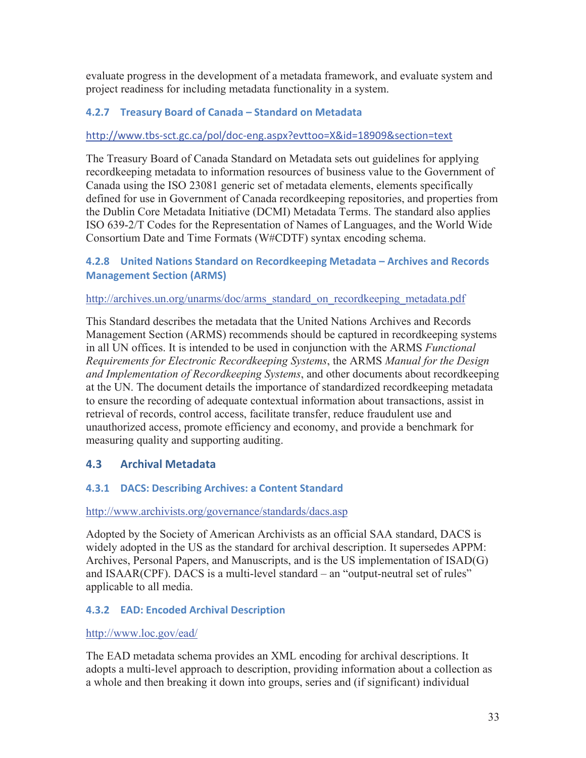evaluate progress in the development of a metadata framework, and evaluate system and project readiness for including metadata functionality in a system.

### **4.2.7 Treasury Board of Canada – Standard on Metadata**

#### http://www.tbs-sct.gc.ca/pol/doc-eng.aspx?evttoo=X&id=18909&section=text

The Treasury Board of Canada Standard on Metadata sets out guidelines for applying recordkeeping metadata to information resources of business value to the Government of Canada using the ISO 23081 generic set of metadata elements, elements specifically defined for use in Government of Canada recordkeeping repositories, and properties from the Dublin Core Metadata Initiative (DCMI) Metadata Terms. The standard also applies ISO 639-2/T Codes for the Representation of Names of Languages, and the World Wide Consortium Date and Time Formats (W#CDTF) syntax encoding schema.

#### **4.2.8 United Nations Standard on Recordkeeping Metadata – Archives and Records Management Section (ARMS)**

#### http://archives.un.org/unarms/doc/arms\_standard\_on\_recordkeeping\_metadata.pdf

This Standard describes the metadata that the United Nations Archives and Records Management Section (ARMS) recommends should be captured in recordkeeping systems in all UN offices. It is intended to be used in conjunction with the ARMS *Functional Requirements for Electronic Recordkeeping Systems*, the ARMS *Manual for the Design and Implementation of Recordkeeping Systems*, and other documents about recordkeeping at the UN. The document details the importance of standardized recordkeeping metadata to ensure the recording of adequate contextual information about transactions, assist in retrieval of records, control access, facilitate transfer, reduce fraudulent use and unauthorized access, promote efficiency and economy, and provide a benchmark for measuring quality and supporting auditing.

## **4.3 Archival Metadata**

#### **4.3.1 DACS: Describing Archives: a Content Standard**

#### http://www.archivists.org/governance/standards/dacs.asp

Adopted by the Society of American Archivists as an official SAA standard, DACS is widely adopted in the US as the standard for archival description. It supersedes APPM: Archives, Personal Papers, and Manuscripts, and is the US implementation of ISAD(G) and ISAAR(CPF). DACS is a multi-level standard – an "output-neutral set of rules" applicable to all media.

#### **4.3.2 EAD: Encoded Archival Description**

#### http://www.loc.gov/ead/

The EAD metadata schema provides an XML encoding for archival descriptions. It adopts a multi-level approach to description, providing information about a collection as a whole and then breaking it down into groups, series and (if significant) individual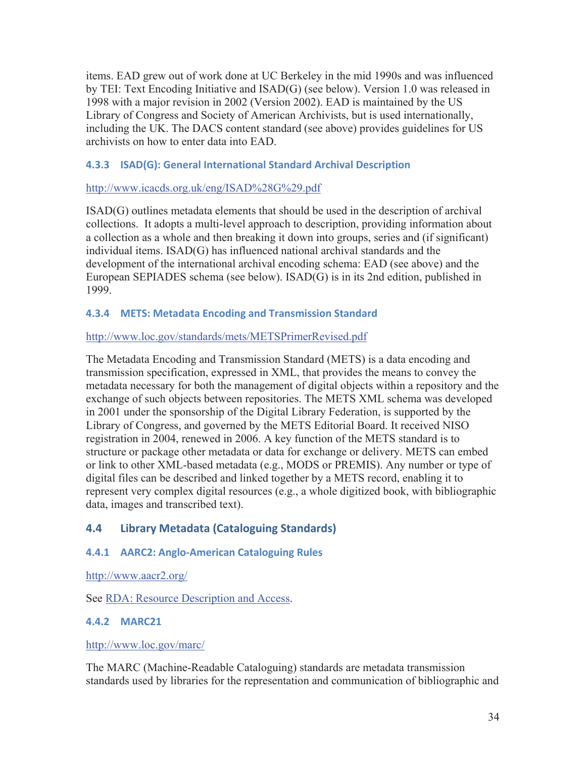items. EAD grew out of work done at UC Berkeley in the mid 1990s and was influenced by TEI: Text Encoding Initiative and ISAD(G) (see below). Version 1.0 was released in 1998 with a major revision in 2002 (Version 2002). EAD is maintained by the US Library of Congress and Society of American Archivists, but is used internationally, including the UK. The DACS content standard (see above) provides guidelines for US archivists on how to enter data into EAD.

#### **4.3.3 ISAD(G): General International Standard Archival Description**

#### http://www.icacds.org.uk/eng/ISAD%28G%29.pdf

ISAD(G) outlines metadata elements that should be used in the description of archival collections. It adopts a multi-level approach to description, providing information about a collection as a whole and then breaking it down into groups, series and (if significant) individual items. ISAD(G) has influenced national archival standards and the development of the international archival encoding schema: EAD (see above) and the European SEPIADES schema (see below). ISAD(G) is in its 2nd edition, published in 1999.

#### **4.3.4 METS: Metadata Encoding and Transmission Standard**

#### http://www.loc.gov/standards/mets/METSPrimerRevised.pdf

The Metadata Encoding and Transmission Standard (METS) is a data encoding and transmission specification, expressed in XML, that provides the means to convey the metadata necessary for both the management of digital objects within a repository and the exchange of such objects between repositories. The METS XML schema was developed in 2001 under the sponsorship of the Digital Library Federation, is supported by the Library of Congress, and governed by the METS Editorial Board. It received NISO registration in 2004, renewed in 2006. A key function of the METS standard is to structure or package other metadata or data for exchange or delivery. METS can embed or link to other XML-based metadata (e.g., MODS or PREMIS). Any number or type of digital files can be described and linked together by a METS record, enabling it to represent very complex digital resources (e.g., a whole digitized book, with bibliographic data, images and transcribed text).

## **4.4 Library Metadata (Cataloguing Standards)**

## **4.4.1 AARC2: Anglo-American Cataloguing Rules**

http://www.aacr2.org/

See RDA: Resource Description and Access.

## **4.4.2 MARC21**

http://www.loc.gov/marc/

The MARC (Machine-Readable Cataloguing) standards are metadata transmission standards used by libraries for the representation and communication of bibliographic and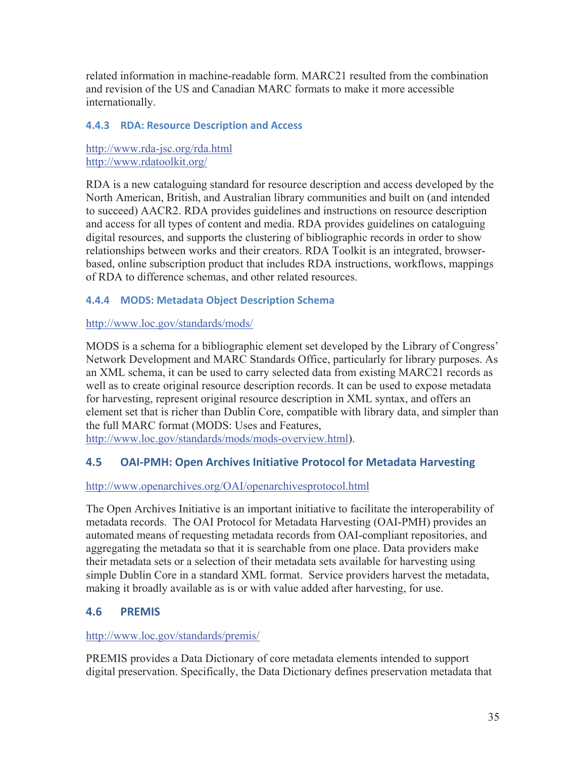related information in machine-readable form. MARC21 resulted from the combination and revision of the US and Canadian MARC formats to make it more accessible internationally.

#### **4.4.3 RDA: Resource Description and Access**

http://www.rda-jsc.org/rda.html http://www.rdatoolkit.org/

RDA is a new cataloguing standard for resource description and access developed by the North American, British, and Australian library communities and built on (and intended to succeed) AACR2. RDA provides guidelines and instructions on resource description and access for all types of content and media. RDA provides guidelines on cataloguing digital resources, and supports the clustering of bibliographic records in order to show relationships between works and their creators. RDA Toolkit is an integrated, browserbased, online subscription product that includes RDA instructions, workflows, mappings of RDA to difference schemas, and other related resources.

## **4.4.4 MODS: Metadata Object Description Schema**

#### http://www.loc.gov/standards/mods/

MODS is a schema for a bibliographic element set developed by the Library of Congress' Network Development and MARC Standards Office, particularly for library purposes. As an XML schema, it can be used to carry selected data from existing MARC21 records as well as to create original resource description records. It can be used to expose metadata for harvesting, represent original resource description in XML syntax, and offers an element set that is richer than Dublin Core, compatible with library data, and simpler than the full MARC format (MODS: Uses and Features,

http://www.loc.gov/standards/mods/mods-overview.html).

## **4.5 OAI-PMH: Open Archives Initiative Protocol for Metadata Harvesting**

## http://www.openarchives.org/OAI/openarchivesprotocol.html

The Open Archives Initiative is an important initiative to facilitate the interoperability of metadata records. The OAI Protocol for Metadata Harvesting (OAI-PMH) provides an automated means of requesting metadata records from OAI-compliant repositories, and aggregating the metadata so that it is searchable from one place. Data providers make their metadata sets or a selection of their metadata sets available for harvesting using simple Dublin Core in a standard XML format. Service providers harvest the metadata, making it broadly available as is or with value added after harvesting, for use.

## **4.6 PREMIS**

#### http://www.loc.gov/standards/premis/

PREMIS provides a Data Dictionary of core metadata elements intended to support digital preservation. Specifically, the Data Dictionary defines preservation metadata that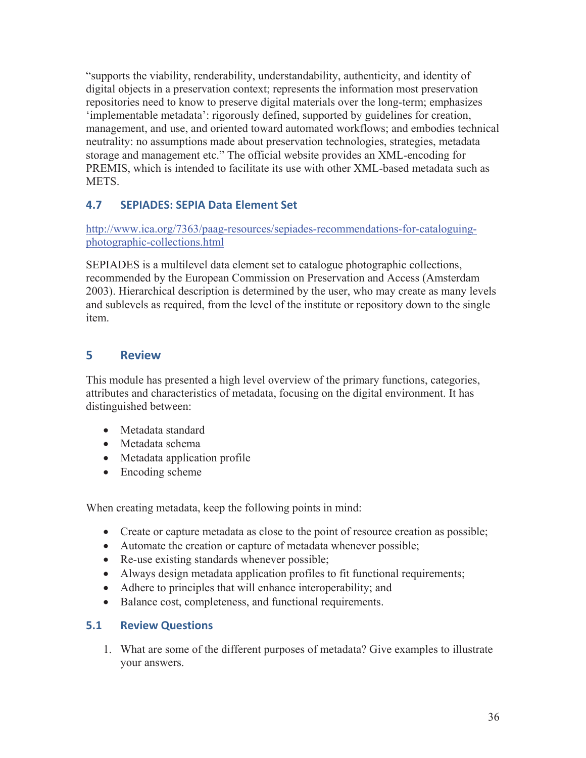"supports the viability, renderability, understandability, authenticity, and identity of digital objects in a preservation context; represents the information most preservation repositories need to know to preserve digital materials over the long-term; emphasizes 'implementable metadata': rigorously defined, supported by guidelines for creation, management, and use, and oriented toward automated workflows; and embodies technical neutrality: no assumptions made about preservation technologies, strategies, metadata storage and management etc." The official website provides an XML-encoding for PREMIS, which is intended to facilitate its use with other XML-based metadata such as **METS** 

## **4.7 SEPIADES: SEPIA Data Element Set**

http://www.ica.org/7363/paag-resources/sepiades-recommendations-for-cataloguingphotographic-collections.html

SEPIADES is a multilevel data element set to catalogue photographic collections, recommended by the European Commission on Preservation and Access (Amsterdam 2003). Hierarchical description is determined by the user, who may create as many levels and sublevels as required, from the level of the institute or repository down to the single item.

## **5 Review**

This module has presented a high level overview of the primary functions, categories, attributes and characteristics of metadata, focusing on the digital environment. It has distinguished between:

- Metadata standard
- Metadata schema
- Metadata application profile
- $\bullet$  Encoding scheme

When creating metadata, keep the following points in mind:

- Create or capture metadata as close to the point of resource creation as possible;
- Automate the creation or capture of metadata whenever possible;
- $\bullet$  Re-use existing standards whenever possible;
- Always design metadata application profiles to fit functional requirements;
- Adhere to principles that will enhance interoperability; and
- Balance cost, completeness, and functional requirements.

## **5.1 Review Questions**

1. What are some of the different purposes of metadata? Give examples to illustrate your answers.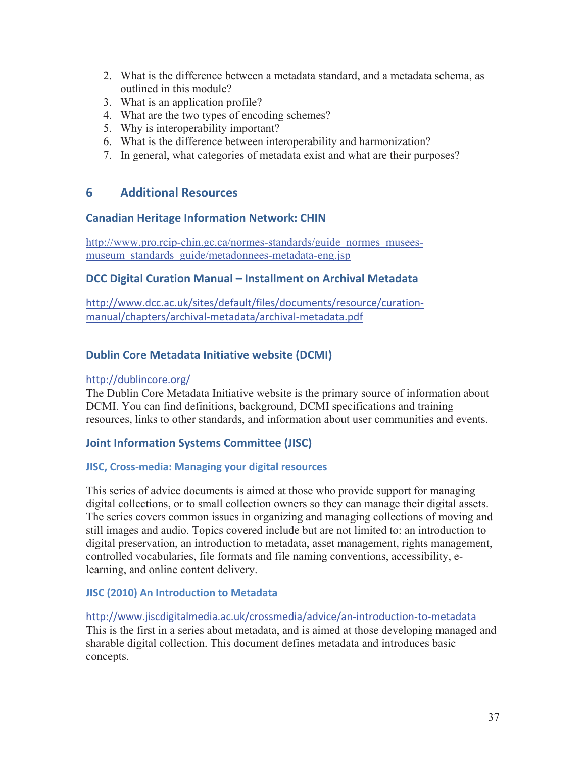- 2. What is the difference between a metadata standard, and a metadata schema, as outlined in this module?
- 3. What is an application profile?
- 4. What are the two types of encoding schemes?
- 5. Why is interoperability important?
- 6. What is the difference between interoperability and harmonization?
- 7. In general, what categories of metadata exist and what are their purposes?

#### **6 Additional Resources**

#### **Canadian Heritage Information Network: CHIN**

http://www.pro.rcip-chin.gc.ca/normes-standards/guide\_normes\_museesmuseum standards guide/metadonnees-metadata-eng.jsp

#### **DCC Digital Curation Manual – Installment on Archival Metadata**

http://www.dcc.ac.uk/sites/default/files/documents/resource/curationmanual/chapters/archival-metadata/archival-metadata.pdf

#### **Dublin Core Metadata Initiative website (DCMI)**

#### http://dublincore.org/

The Dublin Core Metadata Initiative website is the primary source of information about DCMI. You can find definitions, background, DCMI specifications and training resources, links to other standards, and information about user communities and events.

#### **Joint Information Systems Committee (JISC)**

#### **JISC, Cross-media: Managing your digital resources**

This series of advice documents is aimed at those who provide support for managing digital collections, or to small collection owners so they can manage their digital assets. The series covers common issues in organizing and managing collections of moving and still images and audio. Topics covered include but are not limited to: an introduction to digital preservation, an introduction to metadata, asset management, rights management, controlled vocabularies, file formats and file naming conventions, accessibility, elearning, and online content delivery.

#### **JISC (2010) An Introduction to Metadata**

http://www.jiscdigitalmedia.ac.uk/crossmedia/advice/an-introduction-to-metadata This is the first in a series about metadata, and is aimed at those developing managed and sharable digital collection. This document defines metadata and introduces basic concepts.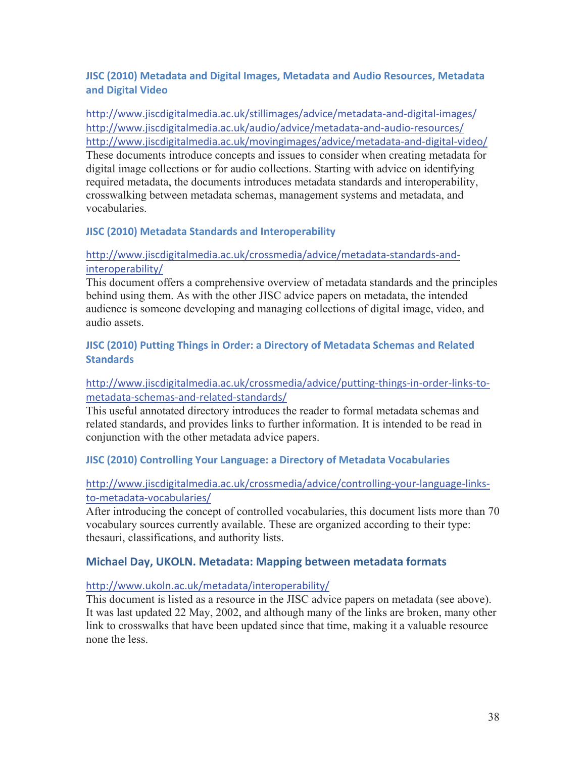#### **JISC (2010) Metadata and Digital Images, Metadata and Audio Resources, Metadata and Digital Video**

http://www.jiscdigitalmedia.ac.uk/stillimages/advice/metadata-and-digital-images/ http://www.jiscdigitalmedia.ac.uk/audio/advice/metadata-and-audio-resources/ http://www.jiscdigitalmedia.ac.uk/movingimages/advice/metadata-and-digital-video/ These documents introduce concepts and issues to consider when creating metadata for digital image collections or for audio collections. Starting with advice on identifying required metadata, the documents introduces metadata standards and interoperability, crosswalking between metadata schemas, management systems and metadata, and vocabularies.

#### **JISC (2010) Metadata Standards and Interoperability**

#### http://www.jiscdigitalmedia.ac.uk/crossmedia/advice/metadata-standards-andinteroperability/

This document offers a comprehensive overview of metadata standards and the principles behind using them. As with the other JISC advice papers on metadata, the intended audience is someone developing and managing collections of digital image, video, and audio assets.

#### **JISC (2010) Putting Things in Order: a Directory of Metadata Schemas and Related Standards**

#### http://www.jiscdigitalmedia.ac.uk/crossmedia/advice/putting-things-in-order-links-tometadata-schemas-and-related-standards/

This useful annotated directory introduces the reader to formal metadata schemas and related standards, and provides links to further information. It is intended to be read in conjunction with the other metadata advice papers.

#### **JISC (2010) Controlling Your Language: a Directory of Metadata Vocabularies**

#### http://www.jiscdigitalmedia.ac.uk/crossmedia/advice/controlling-your-language-linksto-metadata-vocabularies/

After introducing the concept of controlled vocabularies, this document lists more than 70 vocabulary sources currently available. These are organized according to their type: thesauri, classifications, and authority lists.

#### **Michael Day, UKOLN. Metadata: Mapping between metadata formats**

#### http://www.ukoln.ac.uk/metadata/interoperability/

This document is listed as a resource in the JISC advice papers on metadata (see above). It was last updated 22 May, 2002, and although many of the links are broken, many other link to crosswalks that have been updated since that time, making it a valuable resource none the less.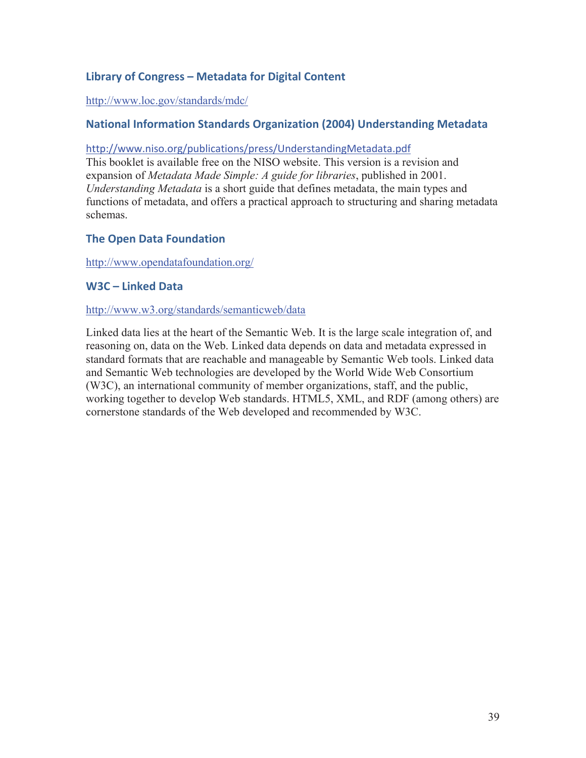## **Library of Congress – Metadata for Digital Content**

#### http://www.loc.gov/standards/mdc/

#### **National Information Standards Organization (2004) Understanding Metadata**

#### http://www.niso.org/publications/press/UnderstandingMetadata.pdf

This booklet is available free on the NISO website. This version is a revision and expansion of *Metadata Made Simple: A guide for libraries*, published in 2001. *Understanding Metadata* is a short guide that defines metadata, the main types and functions of metadata, and offers a practical approach to structuring and sharing metadata schemas.

#### **The Open Data Foundation**

http://www.opendatafoundation.org/

#### **W3C – Linked Data**

#### http://www.w3.org/standards/semanticweb/data

Linked data lies at the heart of the Semantic Web. It is the large scale integration of, and reasoning on, data on the Web. Linked data depends on data and metadata expressed in standard formats that are reachable and manageable by Semantic Web tools. Linked data and Semantic Web technologies are developed by the World Wide Web Consortium (W3C), an international community of member organizations, staff, and the public, working together to develop Web standards. HTML5, XML, and RDF (among others) are cornerstone standards of the Web developed and recommended by W3C.